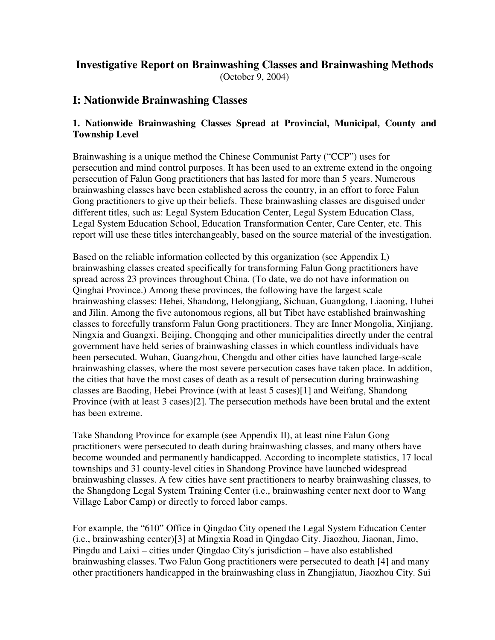### **Investigative Report on Brainwashing Classes and Brainwashing Methods**  (October 9, 2004)

### **I: Nationwide Brainwashing Classes**

#### **1. Nationwide Brainwashing Classes Spread at Provincial, Municipal, County and Township Level**

Brainwashing is a unique method the Chinese Communist Party ("CCP") uses for persecution and mind control purposes. It has been used to an extreme extend in the ongoing persecution of Falun Gong practitioners that has lasted for more than 5 years. Numerous brainwashing classes have been established across the country, in an effort to force Falun Gong practitioners to give up their beliefs. These brainwashing classes are disguised under different titles, such as: Legal System Education Center, Legal System Education Class, Legal System Education School, Education Transformation Center, Care Center, etc. This report will use these titles interchangeably, based on the source material of the investigation.

Based on the reliable information collected by this organization (see Appendix I,) brainwashing classes created specifically for transforming Falun Gong practitioners have spread across 23 provinces throughout China. (To date, we do not have information on Qinghai Province.) Among these provinces, the following have the largest scale brainwashing classes: Hebei, Shandong, Helongjiang, Sichuan, Guangdong, Liaoning, Hubei and Jilin. Among the five autonomous regions, all but Tibet have established brainwashing classes to forcefully transform Falun Gong practitioners. They are Inner Mongolia, Xinjiang, Ningxia and Guangxi. Beijing, Chongqing and other municipalities directly under the central government have held series of brainwashing classes in which countless individuals have been persecuted. Wuhan, Guangzhou, Chengdu and other cities have launched large-scale brainwashing classes, where the most severe persecution cases have taken place. In addition, the cities that have the most cases of death as a result of persecution during brainwashing classes are Baoding, Hebei Province (with at least 5 cases)[1] and Weifang, Shandong Province (with at least 3 cases)[2]. The persecution methods have been brutal and the extent has been extreme.

Take Shandong Province for example (see Appendix II), at least nine Falun Gong practitioners were persecuted to death during brainwashing classes, and many others have become wounded and permanently handicapped. According to incomplete statistics, 17 local townships and 31 county-level cities in Shandong Province have launched widespread brainwashing classes. A few cities have sent practitioners to nearby brainwashing classes, to the Shangdong Legal System Training Center (i.e., brainwashing center next door to Wang Village Labor Camp) or directly to forced labor camps.

For example, the "610" Office in Qingdao City opened the Legal System Education Center (i.e., brainwashing center)[3] at Mingxia Road in Qingdao City. Jiaozhou, Jiaonan, Jimo, Pingdu and Laixi – cities under Qingdao City's jurisdiction – have also established brainwashing classes. Two Falun Gong practitioners were persecuted to death [4] and many other practitioners handicapped in the brainwashing class in Zhangjiatun, Jiaozhou City. Sui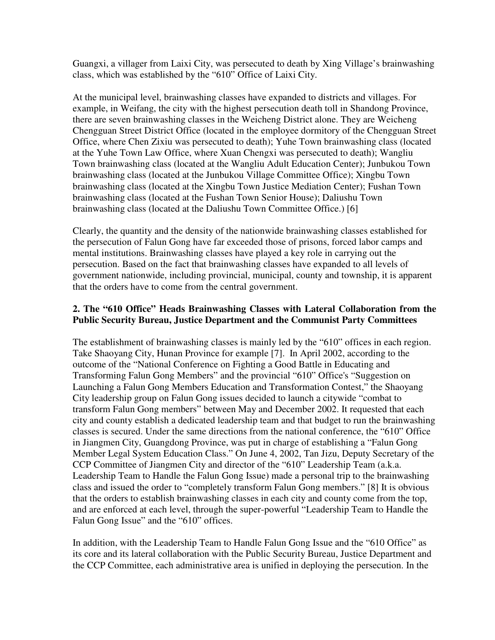Guangxi, a villager from Laixi City, was persecuted to death by Xing Village's brainwashing class, which was established by the "610" Office of Laixi City.

At the municipal level, brainwashing classes have expanded to districts and villages. For example, in Weifang, the city with the highest persecution death toll in Shandong Province, there are seven brainwashing classes in the Weicheng District alone. They are Weicheng Chengguan Street District Office (located in the employee dormitory of the Chengguan Street Office, where Chen Zixiu was persecuted to death); Yuhe Town brainwashing class (located at the Yuhe Town Law Office, where Xuan Chengxi was persecuted to death); Wangliu Town brainwashing class (located at the Wangliu Adult Education Center); Junbukou Town brainwashing class (located at the Junbukou Village Committee Office); Xingbu Town brainwashing class (located at the Xingbu Town Justice Mediation Center); Fushan Town brainwashing class (located at the Fushan Town Senior House); Daliushu Town brainwashing class (located at the Daliushu Town Committee Office.) [6]

Clearly, the quantity and the density of the nationwide brainwashing classes established for the persecution of Falun Gong have far exceeded those of prisons, forced labor camps and mental institutions. Brainwashing classes have played a key role in carrying out the persecution. Based on the fact that brainwashing classes have expanded to all levels of government nationwide, including provincial, municipal, county and township, it is apparent that the orders have to come from the central government.

#### **2. The "610 Office" Heads Brainwashing Classes with Lateral Collaboration from the Public Security Bureau, Justice Department and the Communist Party Committees**

The establishment of brainwashing classes is mainly led by the "610" offices in each region. Take Shaoyang City, Hunan Province for example [7]. In April 2002, according to the outcome of the "National Conference on Fighting a Good Battle in Educating and Transforming Falun Gong Members" and the provincial "610" Office's "Suggestion on Launching a Falun Gong Members Education and Transformation Contest," the Shaoyang City leadership group on Falun Gong issues decided to launch a citywide "combat to transform Falun Gong members" between May and December 2002. It requested that each city and county establish a dedicated leadership team and that budget to run the brainwashing classes is secured. Under the same directions from the national conference, the "610" Office in Jiangmen City, Guangdong Province, was put in charge of establishing a "Falun Gong Member Legal System Education Class." On June 4, 2002, Tan Jizu, Deputy Secretary of the CCP Committee of Jiangmen City and director of the "610" Leadership Team (a.k.a. Leadership Team to Handle the Falun Gong Issue) made a personal trip to the brainwashing class and issued the order to "completely transform Falun Gong members." [8] It is obvious that the orders to establish brainwashing classes in each city and county come from the top, and are enforced at each level, through the super-powerful "Leadership Team to Handle the Falun Gong Issue" and the "610" offices.

In addition, with the Leadership Team to Handle Falun Gong Issue and the "610 Office" as its core and its lateral collaboration with the Public Security Bureau, Justice Department and the CCP Committee, each administrative area is unified in deploying the persecution. In the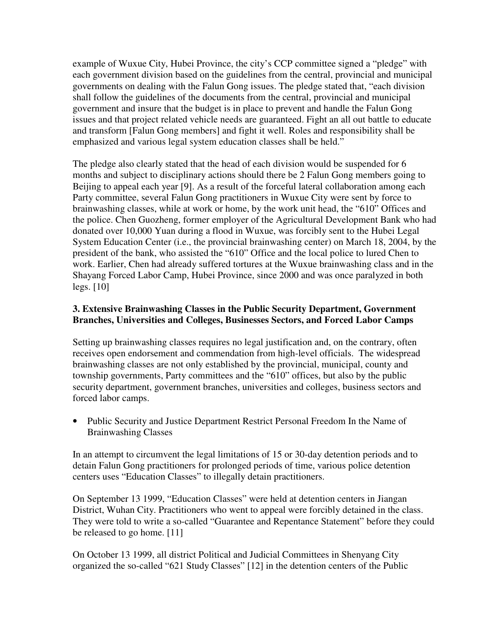example of Wuxue City, Hubei Province, the city's CCP committee signed a "pledge" with each government division based on the guidelines from the central, provincial and municipal governments on dealing with the Falun Gong issues. The pledge stated that, "each division shall follow the guidelines of the documents from the central, provincial and municipal government and insure that the budget is in place to prevent and handle the Falun Gong issues and that project related vehicle needs are guaranteed. Fight an all out battle to educate and transform [Falun Gong members] and fight it well. Roles and responsibility shall be emphasized and various legal system education classes shall be held."

The pledge also clearly stated that the head of each division would be suspended for 6 months and subject to disciplinary actions should there be 2 Falun Gong members going to Beijing to appeal each year [9]. As a result of the forceful lateral collaboration among each Party committee, several Falun Gong practitioners in Wuxue City were sent by force to brainwashing classes, while at work or home, by the work unit head, the "610" Offices and the police. Chen Guozheng, former employer of the Agricultural Development Bank who had donated over 10,000 Yuan during a flood in Wuxue, was forcibly sent to the Hubei Legal System Education Center (i.e., the provincial brainwashing center) on March 18, 2004, by the president of the bank, who assisted the "610" Office and the local police to lured Chen to work. Earlier, Chen had already suffered tortures at the Wuxue brainwashing class and in the Shayang Forced Labor Camp, Hubei Province, since 2000 and was once paralyzed in both legs. [10]

#### **3. Extensive Brainwashing Classes in the Public Security Department, Government Branches, Universities and Colleges, Businesses Sectors, and Forced Labor Camps**

Setting up brainwashing classes requires no legal justification and, on the contrary, often receives open endorsement and commendation from high-level officials. The widespread brainwashing classes are not only established by the provincial, municipal, county and township governments, Party committees and the "610" offices, but also by the public security department, government branches, universities and colleges, business sectors and forced labor camps.

• Public Security and Justice Department Restrict Personal Freedom In the Name of Brainwashing Classes

In an attempt to circumvent the legal limitations of 15 or 30-day detention periods and to detain Falun Gong practitioners for prolonged periods of time, various police detention centers uses "Education Classes" to illegally detain practitioners.

On September 13 1999, "Education Classes" were held at detention centers in Jiangan District, Wuhan City. Practitioners who went to appeal were forcibly detained in the class. They were told to write a so-called "Guarantee and Repentance Statement" before they could be released to go home. [11]

On October 13 1999, all district Political and Judicial Committees in Shenyang City organized the so-called "621 Study Classes" [12] in the detention centers of the Public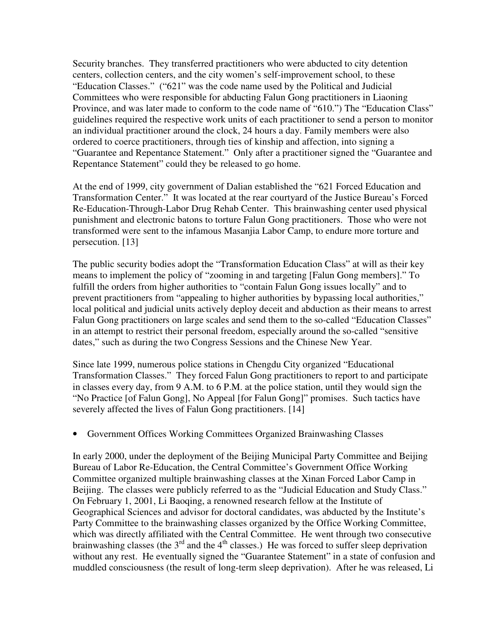Security branches. They transferred practitioners who were abducted to city detention centers, collection centers, and the city women's self-improvement school, to these "Education Classes." ("621" was the code name used by the Political and Judicial Committees who were responsible for abducting Falun Gong practitioners in Liaoning Province, and was later made to conform to the code name of "610.") The "Education Class" guidelines required the respective work units of each practitioner to send a person to monitor an individual practitioner around the clock, 24 hours a day. Family members were also ordered to coerce practitioners, through ties of kinship and affection, into signing a "Guarantee and Repentance Statement." Only after a practitioner signed the "Guarantee and Repentance Statement" could they be released to go home.

At the end of 1999, city government of Dalian established the "621 Forced Education and Transformation Center." It was located at the rear courtyard of the Justice Bureau's Forced Re-Education-Through-Labor Drug Rehab Center. This brainwashing center used physical punishment and electronic batons to torture Falun Gong practitioners. Those who were not transformed were sent to the infamous Masanjia Labor Camp, to endure more torture and persecution. [13]

The public security bodies adopt the "Transformation Education Class" at will as their key means to implement the policy of "zooming in and targeting [Falun Gong members]." To fulfill the orders from higher authorities to "contain Falun Gong issues locally" and to prevent practitioners from "appealing to higher authorities by bypassing local authorities," local political and judicial units actively deploy deceit and abduction as their means to arrest Falun Gong practitioners on large scales and send them to the so-called "Education Classes" in an attempt to restrict their personal freedom, especially around the so-called "sensitive dates," such as during the two Congress Sessions and the Chinese New Year.

Since late 1999, numerous police stations in Chengdu City organized "Educational Transformation Classes." They forced Falun Gong practitioners to report to and participate in classes every day, from 9 A.M. to 6 P.M. at the police station, until they would sign the "No Practice [of Falun Gong], No Appeal [for Falun Gong]" promises. Such tactics have severely affected the lives of Falun Gong practitioners. [14]

• Government Offices Working Committees Organized Brainwashing Classes

In early 2000, under the deployment of the Beijing Municipal Party Committee and Beijing Bureau of Labor Re-Education, the Central Committee's Government Office Working Committee organized multiple brainwashing classes at the Xinan Forced Labor Camp in Beijing. The classes were publicly referred to as the "Judicial Education and Study Class." On February 1, 2001, Li Baoqing, a renowned research fellow at the Institute of Geographical Sciences and advisor for doctoral candidates, was abducted by the Institute's Party Committee to the brainwashing classes organized by the Office Working Committee, which was directly affiliated with the Central Committee. He went through two consecutive brainwashing classes (the  $3<sup>rd</sup>$  and the 4<sup>th</sup> classes.) He was forced to suffer sleep deprivation without any rest. He eventually signed the "Guarantee Statement" in a state of confusion and muddled consciousness (the result of long-term sleep deprivation). After he was released, Li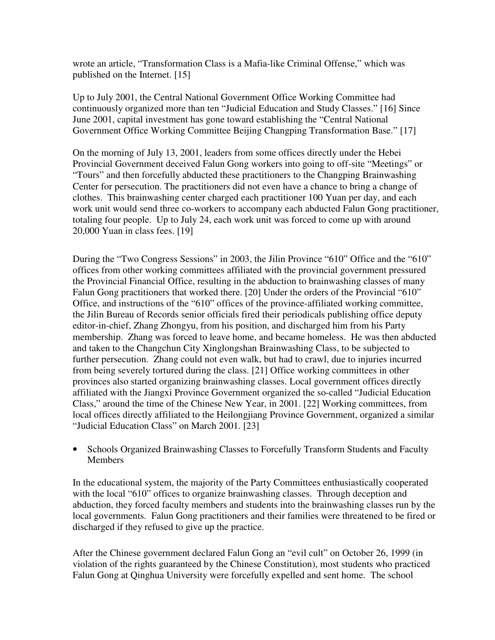wrote an article, "Transformation Class is a Mafia-like Criminal Offense," which was published on the Internet. [15]

Up to July 2001, the Central National Government Office Working Committee had continuously organized more than ten "Judicial Education and Study Classes." [16] Since June 2001, capital investment has gone toward establishing the "Central National Government Office Working Committee Beijing Changping Transformation Base." [17]

On the morning of July 13, 2001, leaders from some offices directly under the Hebei Provincial Government deceived Falun Gong workers into going to off-site "Meetings" or "Tours" and then forcefully abducted these practitioners to the Changping Brainwashing Center for persecution. The practitioners did not even have a chance to bring a change of clothes. This brainwashing center charged each practitioner 100 Yuan per day, and each work unit would send three co-workers to accompany each abducted Falun Gong practitioner, totaling four people. Up to July 24, each work unit was forced to come up with around 20,000 Yuan in class fees. [19]

During the "Two Congress Sessions" in 2003, the Jilin Province "610" Office and the "610" offices from other working committees affiliated with the provincial government pressured the Provincial Financial Office, resulting in the abduction to brainwashing classes of many Falun Gong practitioners that worked there. [20] Under the orders of the Provincial "610" Office, and instructions of the "610" offices of the province-affiliated working committee, the Jilin Bureau of Records senior officials fired their periodicals publishing office deputy editor-in-chief, Zhang Zhongyu, from his position, and discharged him from his Party membership. Zhang was forced to leave home, and became homeless. He was then abducted and taken to the Changchun City Xinglongshan Brainwashing Class, to be subjected to further persecution. Zhang could not even walk, but had to crawl, due to injuries incurred from being severely tortured during the class. [21] Office working committees in other provinces also started organizing brainwashing classes. Local government offices directly affiliated with the Jiangxi Province Government organized the so-called "Judicial Education Class," around the time of the Chinese New Year, in 2001. [22] Working committees, from local offices directly affiliated to the Heilongjiang Province Government, organized a similar "Judicial Education Class" on March 2001. [23]

• Schools Organized Brainwashing Classes to Forcefully Transform Students and Faculty **Members** 

In the educational system, the majority of the Party Committees enthusiastically cooperated with the local "610" offices to organize brainwashing classes. Through deception and abduction, they forced faculty members and students into the brainwashing classes run by the local governments. Falun Gong practitioners and their families were threatened to be fired or discharged if they refused to give up the practice.

After the Chinese government declared Falun Gong an "evil cult" on October 26, 1999 (in violation of the rights guaranteed by the Chinese Constitution), most students who practiced Falun Gong at Qinghua University were forcefully expelled and sent home. The school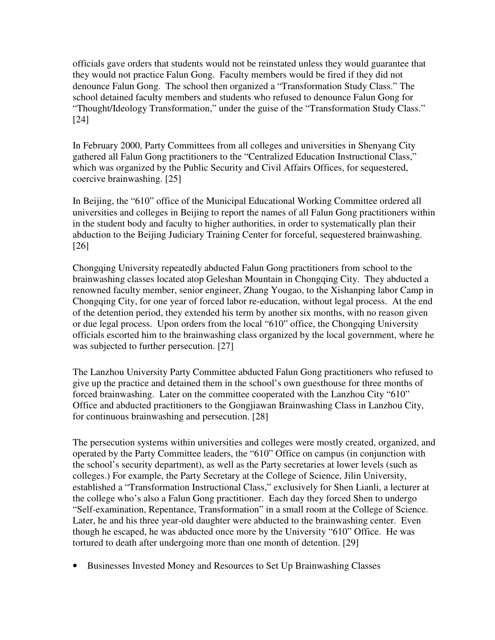officials gave orders that students would not be reinstated unless they would guarantee that they would not practice Falun Gong. Faculty members would be fired if they did not denounce Falun Gong. The school then organized a "Transformation Study Class." The school detained faculty members and students who refused to denounce Falun Gong for "Thought/Ideology Transformation," under the guise of the "Transformation Study Class." [24]

In February 2000, Party Committees from all colleges and universities in Shenyang City gathered all Falun Gong practitioners to the "Centralized Education Instructional Class," which was organized by the Public Security and Civil Affairs Offices, for sequestered, coercive brainwashing. [25]

In Beijing, the "610" office of the Municipal Educational Working Committee ordered all universities and colleges in Beijing to report the names of all Falun Gong practitioners within in the student body and faculty to higher authorities, in order to systematically plan their abduction to the Beijing Judiciary Training Center for forceful, sequestered brainwashing. [26]

Chongqing University repeatedly abducted Falun Gong practitioners from school to the brainwashing classes located atop Geleshan Mountain in Chongqing City. They abducted a renowned faculty member, senior engineer, Zhang Yougao, to the Xishanping labor Camp in Chongqing City, for one year of forced labor re-education, without legal process. At the end of the detention period, they extended his term by another six months, with no reason given or due legal process. Upon orders from the local "610" office, the Chongqing University officials escorted him to the brainwashing class organized by the local government, where he was subjected to further persecution. [27]

The Lanzhou University Party Committee abducted Falun Gong practitioners who refused to give up the practice and detained them in the school's own guesthouse for three months of forced brainwashing. Later on the committee cooperated with the Lanzhou City "610" Office and abducted practitioners to the Gongjiawan Brainwashing Class in Lanzhou City, for continuous brainwashing and persecution. [28]

The persecution systems within universities and colleges were mostly created, organized, and operated by the Party Committee leaders, the "610" Office on campus (in conjunction with the school's security department), as well as the Party secretaries at lower levels (such as colleges.) For example, the Party Secretary at the College of Science, Jilin University, established a "Transformation Instructional Class," exclusively for Shen Lianli, a lecturer at the college who's also a Falun Gong practitioner. Each day they forced Shen to undergo "Self-examination, Repentance, Transformation" in a small room at the College of Science. Later, he and his three year-old daughter were abducted to the brainwashing center. Even though he escaped, he was abducted once more by the University "610" Office. He was tortured to death after undergoing more than one month of detention. [29]

• Businesses Invested Money and Resources to Set Up Brainwashing Classes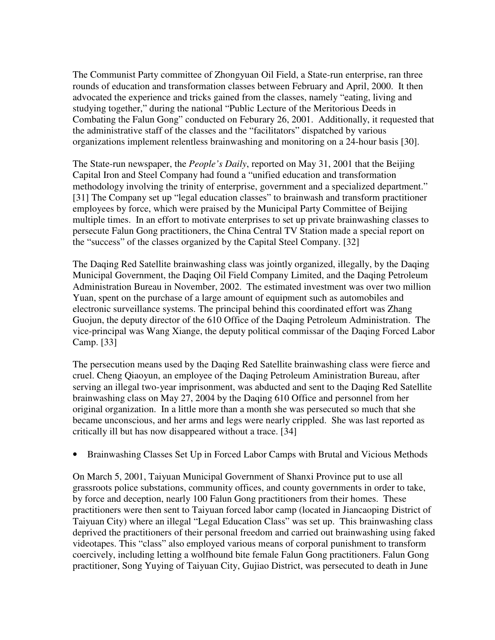The Communist Party committee of Zhongyuan Oil Field, a State-run enterprise, ran three rounds of education and transformation classes between February and April, 2000. It then advocated the experience and tricks gained from the classes, namely "eating, living and studying together," during the national "Public Lecture of the Meritorious Deeds in Combating the Falun Gong" conducted on Feburary 26, 2001. Additionally, it requested that the administrative staff of the classes and the "facilitators" dispatched by various organizations implement relentless brainwashing and monitoring on a 24-hour basis [30].

The State-run newspaper, the *People's Daily*, reported on May 31, 2001 that the Beijing Capital Iron and Steel Company had found a "unified education and transformation methodology involving the trinity of enterprise, government and a specialized department." [31] The Company set up "legal education classes" to brainwash and transform practitioner employees by force, which were praised by the Municipal Party Committee of Beijing multiple times. In an effort to motivate enterprises to set up private brainwashing classes to persecute Falun Gong practitioners, the China Central TV Station made a special report on the "success" of the classes organized by the Capital Steel Company. [32]

The Daqing Red Satellite brainwashing class was jointly organized, illegally, by the Daqing Municipal Government, the Daqing Oil Field Company Limited, and the Daqing Petroleum Administration Bureau in November, 2002. The estimated investment was over two million Yuan, spent on the purchase of a large amount of equipment such as automobiles and electronic surveillance systems. The principal behind this coordinated effort was Zhang Guojun, the deputy director of the 610 Office of the Daqing Petroleum Administration. The vice-principal was Wang Xiange, the deputy political commissar of the Daqing Forced Labor Camp. [33]

The persecution means used by the Daqing Red Satellite brainwashing class were fierce and cruel. Cheng Qiaoyun, an employee of the Daqing Petroleum Aministration Bureau, after serving an illegal two-year imprisonment, was abducted and sent to the Daqing Red Satellite brainwashing class on May 27, 2004 by the Daqing 610 Office and personnel from her original organization. In a little more than a month she was persecuted so much that she became unconscious, and her arms and legs were nearly crippled. She was last reported as critically ill but has now disappeared without a trace. [34]

• Brainwashing Classes Set Up in Forced Labor Camps with Brutal and Vicious Methods

On March 5, 2001, Taiyuan Municipal Government of Shanxi Province put to use all grassroots police substations, community offices, and county governments in order to take, by force and deception, nearly 100 Falun Gong practitioners from their homes. These practitioners were then sent to Taiyuan forced labor camp (located in Jiancaoping District of Taiyuan City) where an illegal "Legal Education Class" was set up. This brainwashing class deprived the practitioners of their personal freedom and carried out brainwashing using faked videotapes. This "class" also employed various means of corporal punishment to transform coercively, including letting a wolfhound bite female Falun Gong practitioners. Falun Gong practitioner, Song Yuying of Taiyuan City, Gujiao District, was persecuted to death in June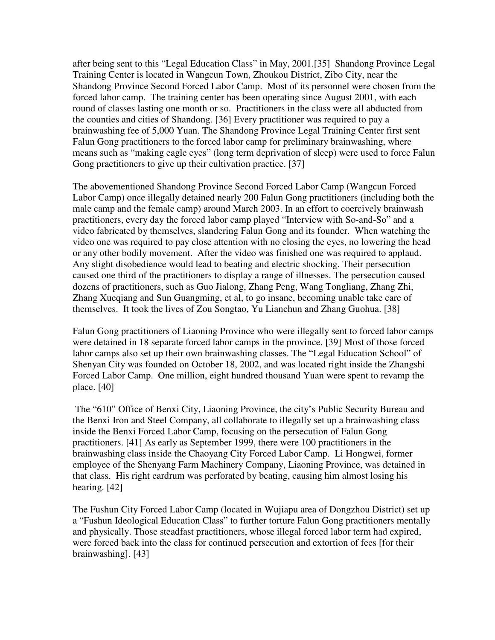after being sent to this "Legal Education Class" in May, 2001.[35] Shandong Province Legal Training Center is located in Wangcun Town, Zhoukou District, Zibo City, near the Shandong Province Second Forced Labor Camp. Most of its personnel were chosen from the forced labor camp. The training center has been operating since August 2001, with each round of classes lasting one month or so. Practitioners in the class were all abducted from the counties and cities of Shandong. [36] Every practitioner was required to pay a brainwashing fee of 5,000 Yuan. The Shandong Province Legal Training Center first sent Falun Gong practitioners to the forced labor camp for preliminary brainwashing, where means such as "making eagle eyes" (long term deprivation of sleep) were used to force Falun Gong practitioners to give up their cultivation practice. [37]

The abovementioned Shandong Province Second Forced Labor Camp (Wangcun Forced Labor Camp) once illegally detained nearly 200 Falun Gong practitioners (including both the male camp and the female camp) around March 2003. In an effort to coercively brainwash practitioners, every day the forced labor camp played "Interview with So-and-So" and a video fabricated by themselves, slandering Falun Gong and its founder. When watching the video one was required to pay close attention with no closing the eyes, no lowering the head or any other bodily movement. After the video was finished one was required to applaud. Any slight disobedience would lead to beating and electric shocking. Their persecution caused one third of the practitioners to display a range of illnesses. The persecution caused dozens of practitioners, such as Guo Jialong, Zhang Peng, Wang Tongliang, Zhang Zhi, Zhang Xueqiang and Sun Guangming, et al, to go insane, becoming unable take care of themselves. It took the lives of Zou Songtao, Yu Lianchun and Zhang Guohua. [38]

Falun Gong practitioners of Liaoning Province who were illegally sent to forced labor camps were detained in 18 separate forced labor camps in the province. [39] Most of those forced labor camps also set up their own brainwashing classes. The "Legal Education School" of Shenyan City was founded on October 18, 2002, and was located right inside the Zhangshi Forced Labor Camp. One million, eight hundred thousand Yuan were spent to revamp the place. [40]

 The "610" Office of Benxi City, Liaoning Province, the city's Public Security Bureau and the Benxi Iron and Steel Company, all collaborate to illegally set up a brainwashing class inside the Benxi Forced Labor Camp, focusing on the persecution of Falun Gong practitioners. [41] As early as September 1999, there were 100 practitioners in the brainwashing class inside the Chaoyang City Forced Labor Camp. Li Hongwei, former employee of the Shenyang Farm Machinery Company, Liaoning Province, was detained in that class. His right eardrum was perforated by beating, causing him almost losing his hearing. [42]

The Fushun City Forced Labor Camp (located in Wujiapu area of Dongzhou District) set up a "Fushun Ideological Education Class" to further torture Falun Gong practitioners mentally and physically. Those steadfast practitioners, whose illegal forced labor term had expired, were forced back into the class for continued persecution and extortion of fees [for their brainwashing]. [43]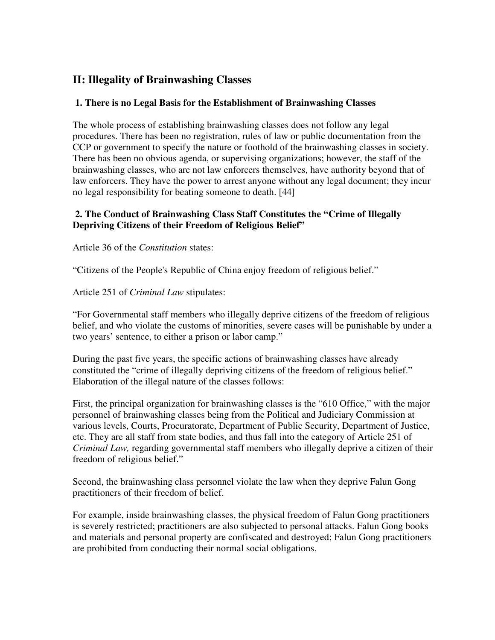## **II: Illegality of Brainwashing Classes**

#### **1. There is no Legal Basis for the Establishment of Brainwashing Classes**

The whole process of establishing brainwashing classes does not follow any legal procedures. There has been no registration, rules of law or public documentation from the CCP or government to specify the nature or foothold of the brainwashing classes in society. There has been no obvious agenda, or supervising organizations; however, the staff of the brainwashing classes, who are not law enforcers themselves, have authority beyond that of law enforcers. They have the power to arrest anyone without any legal document; they incur no legal responsibility for beating someone to death. [44]

#### **2. The Conduct of Brainwashing Class Staff Constitutes the "Crime of Illegally Depriving Citizens of their Freedom of Religious Belief"**

Article 36 of the *Constitution* states:

"Citizens of the People's Republic of China enjoy freedom of religious belief."

Article 251 of *Criminal Law* stipulates:

"For Governmental staff members who illegally deprive citizens of the freedom of religious belief, and who violate the customs of minorities, severe cases will be punishable by under a two years' sentence, to either a prison or labor camp."

During the past five years, the specific actions of brainwashing classes have already constituted the "crime of illegally depriving citizens of the freedom of religious belief." Elaboration of the illegal nature of the classes follows:

First, the principal organization for brainwashing classes is the "610 Office," with the major personnel of brainwashing classes being from the Political and Judiciary Commission at various levels, Courts, Procuratorate, Department of Public Security, Department of Justice, etc. They are all staff from state bodies, and thus fall into the category of Article 251 of *Criminal Law,* regarding governmental staff members who illegally deprive a citizen of their freedom of religious belief."

Second, the brainwashing class personnel violate the law when they deprive Falun Gong practitioners of their freedom of belief.

For example, inside brainwashing classes, the physical freedom of Falun Gong practitioners is severely restricted; practitioners are also subjected to personal attacks. Falun Gong books and materials and personal property are confiscated and destroyed; Falun Gong practitioners are prohibited from conducting their normal social obligations.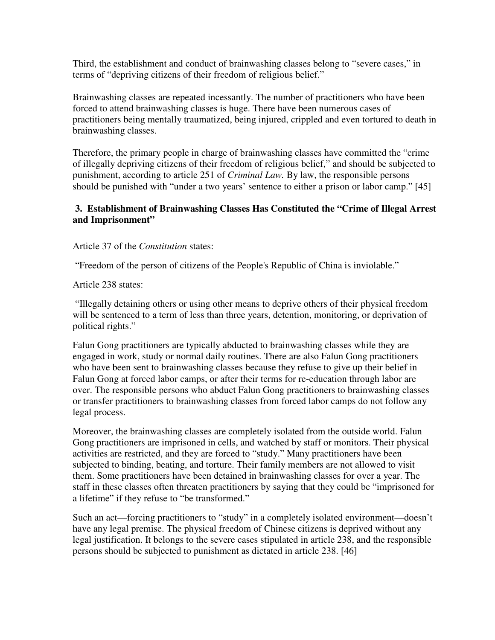Third, the establishment and conduct of brainwashing classes belong to "severe cases," in terms of "depriving citizens of their freedom of religious belief."

Brainwashing classes are repeated incessantly. The number of practitioners who have been forced to attend brainwashing classes is huge. There have been numerous cases of practitioners being mentally traumatized, being injured, crippled and even tortured to death in brainwashing classes.

Therefore, the primary people in charge of brainwashing classes have committed the "crime of illegally depriving citizens of their freedom of religious belief," and should be subjected to punishment, according to article 251 of *Criminal Law.* By law, the responsible persons should be punished with "under a two years' sentence to either a prison or labor camp." [45]

#### **3. Establishment of Brainwashing Classes Has Constituted the "Crime of Illegal Arrest and Imprisonment"**

#### Article 37 of the *Constitution* states:

"Freedom of the person of citizens of the People's Republic of China is inviolable."

Article 238 states:

 "Illegally detaining others or using other means to deprive others of their physical freedom will be sentenced to a term of less than three years, detention, monitoring, or deprivation of political rights."

Falun Gong practitioners are typically abducted to brainwashing classes while they are engaged in work, study or normal daily routines. There are also Falun Gong practitioners who have been sent to brainwashing classes because they refuse to give up their belief in Falun Gong at forced labor camps, or after their terms for re-education through labor are over. The responsible persons who abduct Falun Gong practitioners to brainwashing classes or transfer practitioners to brainwashing classes from forced labor camps do not follow any legal process.

Moreover, the brainwashing classes are completely isolated from the outside world. Falun Gong practitioners are imprisoned in cells, and watched by staff or monitors. Their physical activities are restricted, and they are forced to "study." Many practitioners have been subjected to binding, beating, and torture. Their family members are not allowed to visit them. Some practitioners have been detained in brainwashing classes for over a year. The staff in these classes often threaten practitioners by saying that they could be "imprisoned for a lifetime" if they refuse to "be transformed."

Such an act—forcing practitioners to "study" in a completely isolated environment—doesn't have any legal premise. The physical freedom of Chinese citizens is deprived without any legal justification. It belongs to the severe cases stipulated in article 238, and the responsible persons should be subjected to punishment as dictated in article 238. [46]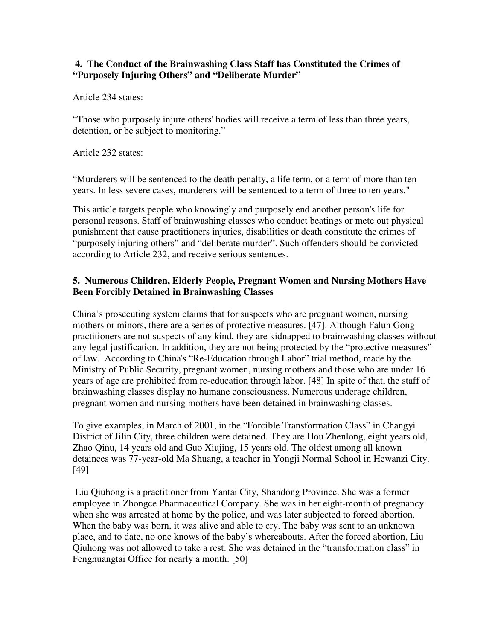#### **4. The Conduct of the Brainwashing Class Staff has Constituted the Crimes of "Purposely Injuring Others" and "Deliberate Murder"**

Article 234 states:

"Those who purposely injure others' bodies will receive a term of less than three years, detention, or be subject to monitoring."

Article 232 states:

"Murderers will be sentenced to the death penalty, a life term, or a term of more than ten years. In less severe cases, murderers will be sentenced to a term of three to ten years."

This article targets people who knowingly and purposely end another person's life for personal reasons. Staff of brainwashing classes who conduct beatings or mete out physical punishment that cause practitioners injuries, disabilities or death constitute the crimes of "purposely injuring others" and "deliberate murder". Such offenders should be convicted according to Article 232, and receive serious sentences.

#### **5. Numerous Children, Elderly People, Pregnant Women and Nursing Mothers Have Been Forcibly Detained in Brainwashing Classes**

China's prosecuting system claims that for suspects who are pregnant women, nursing mothers or minors, there are a series of protective measures. [47]. Although Falun Gong practitioners are not suspects of any kind, they are kidnapped to brainwashing classes without any legal justification. In addition, they are not being protected by the "protective measures" of law. According to China's "Re-Education through Labor" trial method, made by the Ministry of Public Security, pregnant women, nursing mothers and those who are under 16 years of age are prohibited from re-education through labor. [48] In spite of that, the staff of brainwashing classes display no humane consciousness. Numerous underage children, pregnant women and nursing mothers have been detained in brainwashing classes.

To give examples, in March of 2001, in the "Forcible Transformation Class" in Changyi District of Jilin City, three children were detained. They are Hou Zhenlong, eight years old, Zhao Qinu, 14 years old and Guo Xiujing, 15 years old. The oldest among all known detainees was 77-year-old Ma Shuang, a teacher in Yongji Normal School in Hewanzi City. [49]

 Liu Qiuhong is a practitioner from Yantai City, Shandong Province. She was a former employee in Zhongce Pharmaceutical Company. She was in her eight-month of pregnancy when she was arrested at home by the police, and was later subjected to forced abortion. When the baby was born, it was alive and able to cry. The baby was sent to an unknown place, and to date, no one knows of the baby's whereabouts. After the forced abortion, Liu Qiuhong was not allowed to take a rest. She was detained in the "transformation class" in Fenghuangtai Office for nearly a month. [50]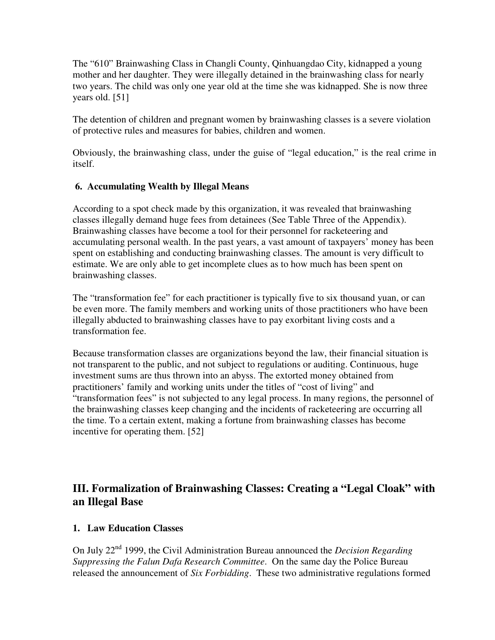The "610" Brainwashing Class in Changli County, Qinhuangdao City, kidnapped a young mother and her daughter. They were illegally detained in the brainwashing class for nearly two years. The child was only one year old at the time she was kidnapped. She is now three years old. [51]

The detention of children and pregnant women by brainwashing classes is a severe violation of protective rules and measures for babies, children and women.

Obviously, the brainwashing class, under the guise of "legal education," is the real crime in itself.

### **6. Accumulating Wealth by Illegal Means**

According to a spot check made by this organization, it was revealed that brainwashing classes illegally demand huge fees from detainees (See Table Three of the Appendix). Brainwashing classes have become a tool for their personnel for racketeering and accumulating personal wealth. In the past years, a vast amount of taxpayers' money has been spent on establishing and conducting brainwashing classes. The amount is very difficult to estimate. We are only able to get incomplete clues as to how much has been spent on brainwashing classes.

The "transformation fee" for each practitioner is typically five to six thousand yuan, or can be even more. The family members and working units of those practitioners who have been illegally abducted to brainwashing classes have to pay exorbitant living costs and a transformation fee.

Because transformation classes are organizations beyond the law, their financial situation is not transparent to the public, and not subject to regulations or auditing. Continuous, huge investment sums are thus thrown into an abyss. The extorted money obtained from practitioners' family and working units under the titles of "cost of living" and "transformation fees" is not subjected to any legal process. In many regions, the personnel of the brainwashing classes keep changing and the incidents of racketeering are occurring all the time. To a certain extent, making a fortune from brainwashing classes has become incentive for operating them. [52]

# **III. Formalization of Brainwashing Classes: Creating a "Legal Cloak" with an Illegal Base**

#### **1. Law Education Classes**

On July 22nd 1999, the Civil Administration Bureau announced the *Decision Regarding Suppressing the Falun Dafa Research Committee*. On the same day the Police Bureau released the announcement of *Six Forbidding*. These two administrative regulations formed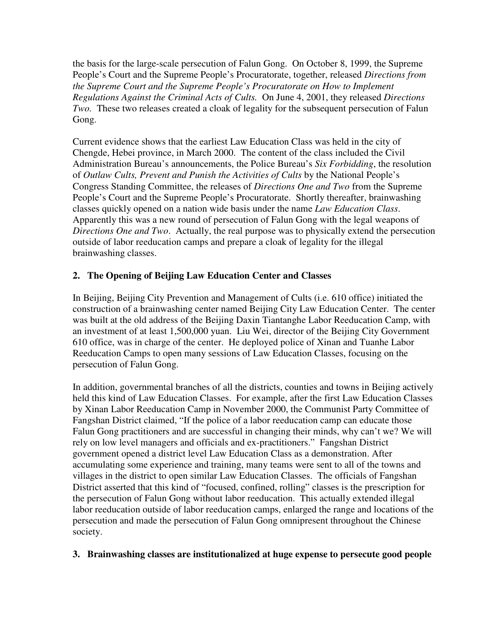the basis for the large-scale persecution of Falun Gong. On October 8, 1999, the Supreme People's Court and the Supreme People's Procuratorate, together, released *Directions from the Supreme Court and the Supreme People's Procuratorate on How to Implement Regulations Against the Criminal Acts of Cults.* On June 4, 2001, they released *Directions Two.* These two releases created a cloak of legality for the subsequent persecution of Falun Gong.

Current evidence shows that the earliest Law Education Class was held in the city of Chengde, Hebei province, in March 2000. The content of the class included the Civil Administration Bureau's announcements, the Police Bureau's *Six Forbidding*, the resolution of *Outlaw Cults, Prevent and Punish the Activities of Cults* by the National People's Congress Standing Committee, the releases of *Directions One and Two* from the Supreme People's Court and the Supreme People's Procuratorate. Shortly thereafter, brainwashing classes quickly opened on a nation wide basis under the name *Law Education Class*. Apparently this was a new round of persecution of Falun Gong with the legal weapons of *Directions One and Two*. Actually, the real purpose was to physically extend the persecution outside of labor reeducation camps and prepare a cloak of legality for the illegal brainwashing classes.

## **2. The Opening of Beijing Law Education Center and Classes**

In Beijing, Beijing City Prevention and Management of Cults (i.e. 610 office) initiated the construction of a brainwashing center named Beijing City Law Education Center. The center was built at the old address of the Beijing Daxin Tiantanghe Labor Reeducation Camp, with an investment of at least 1,500,000 yuan. Liu Wei, director of the Beijing City Government 610 office, was in charge of the center. He deployed police of Xinan and Tuanhe Labor Reeducation Camps to open many sessions of Law Education Classes, focusing on the persecution of Falun Gong.

In addition, governmental branches of all the districts, counties and towns in Beijing actively held this kind of Law Education Classes. For example, after the first Law Education Classes by Xinan Labor Reeducation Camp in November 2000, the Communist Party Committee of Fangshan District claimed, "If the police of a labor reeducation camp can educate those Falun Gong practitioners and are successful in changing their minds, why can't we? We will rely on low level managers and officials and ex-practitioners." Fangshan District government opened a district level Law Education Class as a demonstration. After accumulating some experience and training, many teams were sent to all of the towns and villages in the district to open similar Law Education Classes. The officials of Fangshan District asserted that this kind of "focused, confined, rolling" classes is the prescription for the persecution of Falun Gong without labor reeducation. This actually extended illegal labor reeducation outside of labor reeducation camps, enlarged the range and locations of the persecution and made the persecution of Falun Gong omnipresent throughout the Chinese society.

#### **3. Brainwashing classes are institutionalized at huge expense to persecute good people**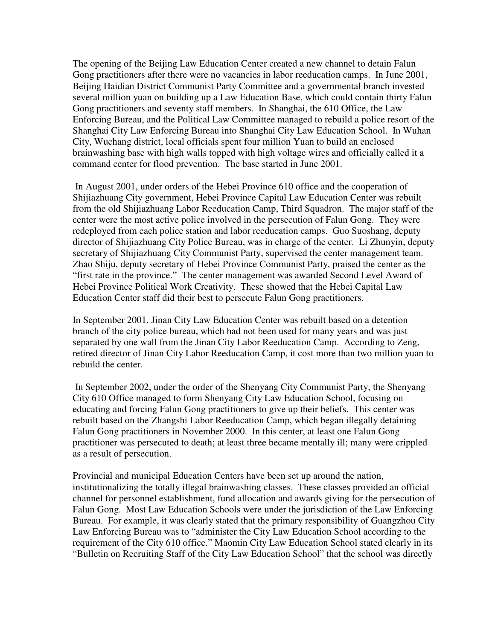The opening of the Beijing Law Education Center created a new channel to detain Falun Gong practitioners after there were no vacancies in labor reeducation camps. In June 2001, Beijing Haidian District Communist Party Committee and a governmental branch invested several million yuan on building up a Law Education Base, which could contain thirty Falun Gong practitioners and seventy staff members. In Shanghai, the 610 Office, the Law Enforcing Bureau, and the Political Law Committee managed to rebuild a police resort of the Shanghai City Law Enforcing Bureau into Shanghai City Law Education School. In Wuhan City, Wuchang district, local officials spent four million Yuan to build an enclosed brainwashing base with high walls topped with high voltage wires and officially called it a command center for flood prevention. The base started in June 2001.

 In August 2001, under orders of the Hebei Province 610 office and the cooperation of Shijiazhuang City government, Hebei Province Capital Law Education Center was rebuilt from the old Shijiazhuang Labor Reeducation Camp, Third Squadron. The major staff of the center were the most active police involved in the persecution of Falun Gong. They were redeployed from each police station and labor reeducation camps. Guo Suoshang, deputy director of Shijiazhuang City Police Bureau, was in charge of the center. Li Zhunyin, deputy secretary of Shijiazhuang City Communist Party, supervised the center management team. Zhao Shiju, deputy secretary of Hebei Province Communist Party, praised the center as the "first rate in the province." The center management was awarded Second Level Award of Hebei Province Political Work Creativity. These showed that the Hebei Capital Law Education Center staff did their best to persecute Falun Gong practitioners.

In September 2001, Jinan City Law Education Center was rebuilt based on a detention branch of the city police bureau, which had not been used for many years and was just separated by one wall from the Jinan City Labor Reeducation Camp. According to Zeng, retired director of Jinan City Labor Reeducation Camp, it cost more than two million yuan to rebuild the center.

 In September 2002, under the order of the Shenyang City Communist Party, the Shenyang City 610 Office managed to form Shenyang City Law Education School, focusing on educating and forcing Falun Gong practitioners to give up their beliefs. This center was rebuilt based on the Zhangshi Labor Reeducation Camp, which began illegally detaining Falun Gong practitioners in November 2000. In this center, at least one Falun Gong practitioner was persecuted to death; at least three became mentally ill; many were crippled as a result of persecution.

Provincial and municipal Education Centers have been set up around the nation, institutionalizing the totally illegal brainwashing classes. These classes provided an official channel for personnel establishment, fund allocation and awards giving for the persecution of Falun Gong. Most Law Education Schools were under the jurisdiction of the Law Enforcing Bureau. For example, it was clearly stated that the primary responsibility of Guangzhou City Law Enforcing Bureau was to "administer the City Law Education School according to the requirement of the City 610 office." Maomin City Law Education School stated clearly in its "Bulletin on Recruiting Staff of the City Law Education School" that the school was directly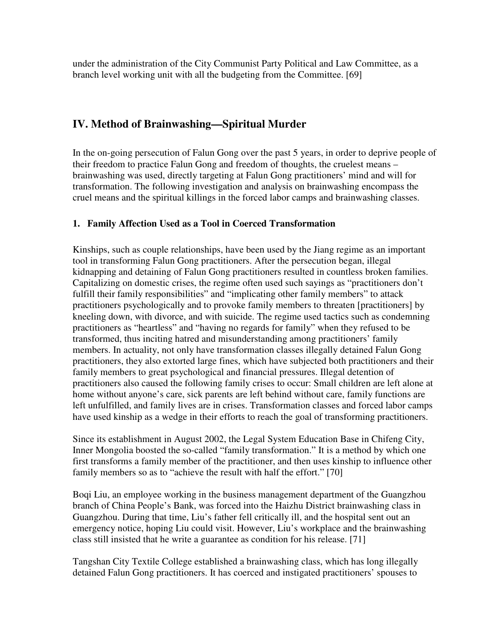under the administration of the City Communist Party Political and Law Committee, as a branch level working unit with all the budgeting from the Committee. [69]

## **IV. Method of Brainwashing—Spiritual Murder**

In the on-going persecution of Falun Gong over the past 5 years, in order to deprive people of their freedom to practice Falun Gong and freedom of thoughts, the cruelest means – brainwashing was used, directly targeting at Falun Gong practitioners' mind and will for transformation. The following investigation and analysis on brainwashing encompass the cruel means and the spiritual killings in the forced labor camps and brainwashing classes.

### **1. Family Affection Used as a Tool in Coerced Transformation**

Kinships, such as couple relationships, have been used by the Jiang regime as an important tool in transforming Falun Gong practitioners. After the persecution began, illegal kidnapping and detaining of Falun Gong practitioners resulted in countless broken families. Capitalizing on domestic crises, the regime often used such sayings as "practitioners don't fulfill their family responsibilities" and "implicating other family members" to attack practitioners psychologically and to provoke family members to threaten [practitioners] by kneeling down, with divorce, and with suicide. The regime used tactics such as condemning practitioners as "heartless" and "having no regards for family" when they refused to be transformed, thus inciting hatred and misunderstanding among practitioners' family members. In actuality, not only have transformation classes illegally detained Falun Gong practitioners, they also extorted large fines, which have subjected both practitioners and their family members to great psychological and financial pressures. Illegal detention of practitioners also caused the following family crises to occur: Small children are left alone at home without anyone's care, sick parents are left behind without care, family functions are left unfulfilled, and family lives are in crises. Transformation classes and forced labor camps have used kinship as a wedge in their efforts to reach the goal of transforming practitioners.

Since its establishment in August 2002, the Legal System Education Base in Chifeng City, Inner Mongolia boosted the so-called "family transformation." It is a method by which one first transforms a family member of the practitioner, and then uses kinship to influence other family members so as to "achieve the result with half the effort." [70]

Boqi Liu, an employee working in the business management department of the Guangzhou branch of China People's Bank, was forced into the Haizhu District brainwashing class in Guangzhou. During that time, Liu's father fell critically ill, and the hospital sent out an emergency notice, hoping Liu could visit. However, Liu's workplace and the brainwashing class still insisted that he write a guarantee as condition for his release. [71]

Tangshan City Textile College established a brainwashing class, which has long illegally detained Falun Gong practitioners. It has coerced and instigated practitioners' spouses to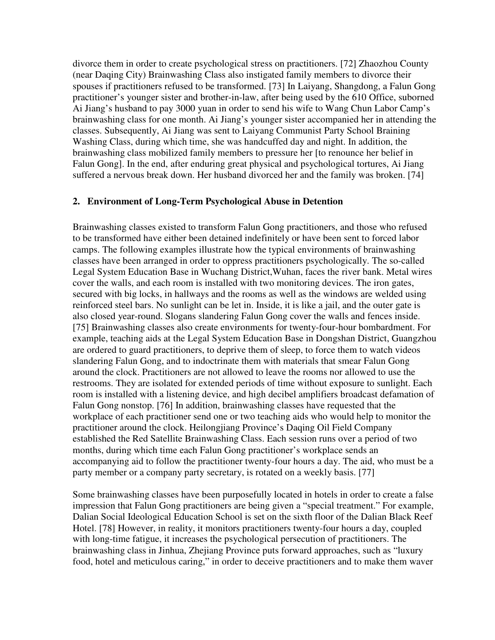divorce them in order to create psychological stress on practitioners. [72] Zhaozhou County (near Daqing City) Brainwashing Class also instigated family members to divorce their spouses if practitioners refused to be transformed. [73] In Laiyang, Shangdong, a Falun Gong practitioner's younger sister and brother-in-law, after being used by the 610 Office, suborned Ai Jiang's husband to pay 3000 yuan in order to send his wife to Wang Chun Labor Camp's brainwashing class for one month. Ai Jiang's younger sister accompanied her in attending the classes. Subsequently, Ai Jiang was sent to Laiyang Communist Party School Braining Washing Class, during which time, she was handcuffed day and night. In addition, the brainwashing class mobilized family members to pressure her [to renounce her belief in Falun Gong]. In the end, after enduring great physical and psychological tortures, Ai Jiang suffered a nervous break down. Her husband divorced her and the family was broken. [74]

#### **2. Environment of Long-Term Psychological Abuse in Detention**

Brainwashing classes existed to transform Falun Gong practitioners, and those who refused to be transformed have either been detained indefinitely or have been sent to forced labor camps. The following examples illustrate how the typical environments of brainwashing classes have been arranged in order to oppress practitioners psychologically. The so-called Legal System Education Base in Wuchang District,Wuhan, faces the river bank. Metal wires cover the walls, and each room is installed with two monitoring devices. The iron gates, secured with big locks, in hallways and the rooms as well as the windows are welded using reinforced steel bars. No sunlight can be let in. Inside, it is like a jail, and the outer gate is also closed year-round. Slogans slandering Falun Gong cover the walls and fences inside. [75] Brainwashing classes also create environments for twenty-four-hour bombardment. For example, teaching aids at the Legal System Education Base in Dongshan District, Guangzhou are ordered to guard practitioners, to deprive them of sleep, to force them to watch videos slandering Falun Gong, and to indoctrinate them with materials that smear Falun Gong around the clock. Practitioners are not allowed to leave the rooms nor allowed to use the restrooms. They are isolated for extended periods of time without exposure to sunlight. Each room is installed with a listening device, and high decibel amplifiers broadcast defamation of Falun Gong nonstop. [76] In addition, brainwashing classes have requested that the workplace of each practitioner send one or two teaching aids who would help to monitor the practitioner around the clock. Heilongjiang Province's Daqing Oil Field Company established the Red Satellite Brainwashing Class. Each session runs over a period of two months, during which time each Falun Gong practitioner's workplace sends an accompanying aid to follow the practitioner twenty-four hours a day. The aid, who must be a party member or a company party secretary, is rotated on a weekly basis. [77]

Some brainwashing classes have been purposefully located in hotels in order to create a false impression that Falun Gong practitioners are being given a "special treatment." For example, Dalian Social Ideological Education School is set on the sixth floor of the Dalian Black Reef Hotel. [78] However, in reality, it monitors practitioners twenty-four hours a day, coupled with long-time fatigue, it increases the psychological persecution of practitioners. The brainwashing class in Jinhua, Zhejiang Province puts forward approaches, such as "luxury food, hotel and meticulous caring," in order to deceive practitioners and to make them waver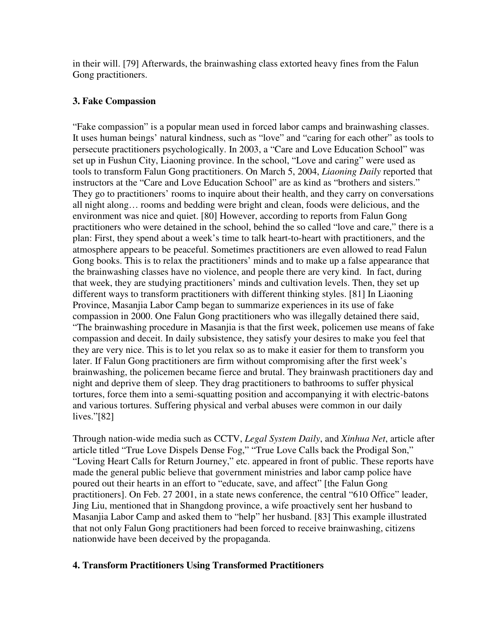in their will. [79] Afterwards, the brainwashing class extorted heavy fines from the Falun Gong practitioners.

#### **3. Fake Compassion**

"Fake compassion" is a popular mean used in forced labor camps and brainwashing classes. It uses human beings' natural kindness, such as "love" and "caring for each other" as tools to persecute practitioners psychologically. In 2003, a "Care and Love Education School" was set up in Fushun City, Liaoning province. In the school, "Love and caring" were used as tools to transform Falun Gong practitioners. On March 5, 2004, *Liaoning Daily* reported that instructors at the "Care and Love Education School" are as kind as "brothers and sisters." They go to practitioners' rooms to inquire about their health, and they carry on conversations all night along… rooms and bedding were bright and clean, foods were delicious, and the environment was nice and quiet. [80] However, according to reports from Falun Gong practitioners who were detained in the school, behind the so called "love and care," there is a plan: First, they spend about a week's time to talk heart-to-heart with practitioners, and the atmosphere appears to be peaceful. Sometimes practitioners are even allowed to read Falun Gong books. This is to relax the practitioners' minds and to make up a false appearance that the brainwashing classes have no violence, and people there are very kind. In fact, during that week, they are studying practitioners' minds and cultivation levels. Then, they set up different ways to transform practitioners with different thinking styles. [81] In Liaoning Province, Masanjia Labor Camp began to summarize experiences in its use of fake compassion in 2000. One Falun Gong practitioners who was illegally detained there said, "The brainwashing procedure in Masanjia is that the first week, policemen use means of fake compassion and deceit. In daily subsistence, they satisfy your desires to make you feel that they are very nice. This is to let you relax so as to make it easier for them to transform you later. If Falun Gong practitioners are firm without compromising after the first week's brainwashing, the policemen became fierce and brutal. They brainwash practitioners day and night and deprive them of sleep. They drag practitioners to bathrooms to suffer physical tortures, force them into a semi-squatting position and accompanying it with electric-batons and various tortures. Suffering physical and verbal abuses were common in our daily lives."[82]

Through nation-wide media such as CCTV, *Legal System Daily*, and *Xinhua Net*, article after article titled "True Love Dispels Dense Fog," "True Love Calls back the Prodigal Son," "Loving Heart Calls for Return Journey," etc. appeared in front of public. These reports have made the general public believe that government ministries and labor camp police have poured out their hearts in an effort to "educate, save, and affect" [the Falun Gong practitioners]. On Feb. 27 2001, in a state news conference, the central "610 Office" leader, Jing Liu, mentioned that in Shangdong province, a wife proactively sent her husband to Masanjia Labor Camp and asked them to "help" her husband. [83] This example illustrated that not only Falun Gong practitioners had been forced to receive brainwashing, citizens nationwide have been deceived by the propaganda.

#### **4. Transform Practitioners Using Transformed Practitioners**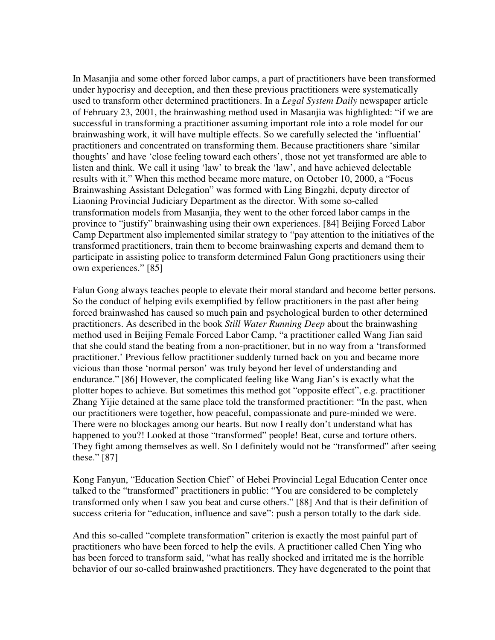In Masanjia and some other forced labor camps, a part of practitioners have been transformed under hypocrisy and deception, and then these previous practitioners were systematically used to transform other determined practitioners. In a *Legal System Daily* newspaper article of February 23, 2001, the brainwashing method used in Masanjia was highlighted: "if we are successful in transforming a practitioner assuming important role into a role model for our brainwashing work, it will have multiple effects. So we carefully selected the 'influential' practitioners and concentrated on transforming them. Because practitioners share 'similar thoughts' and have 'close feeling toward each others', those not yet transformed are able to listen and think. We call it using 'law' to break the 'law', and have achieved delectable results with it." When this method became more mature, on October 10, 2000, a "Focus Brainwashing Assistant Delegation" was formed with Ling Bingzhi, deputy director of Liaoning Provincial Judiciary Department as the director. With some so-called transformation models from Masanjia, they went to the other forced labor camps in the province to "justify" brainwashing using their own experiences. [84] Beijing Forced Labor Camp Department also implemented similar strategy to "pay attention to the initiatives of the transformed practitioners, train them to become brainwashing experts and demand them to participate in assisting police to transform determined Falun Gong practitioners using their own experiences." [85]

Falun Gong always teaches people to elevate their moral standard and become better persons. So the conduct of helping evils exemplified by fellow practitioners in the past after being forced brainwashed has caused so much pain and psychological burden to other determined practitioners. As described in the book *Still Water Running Deep* about the brainwashing method used in Beijing Female Forced Labor Camp, "a practitioner called Wang Jian said that she could stand the beating from a non-practitioner, but in no way from a 'transformed practitioner.' Previous fellow practitioner suddenly turned back on you and became more vicious than those 'normal person' was truly beyond her level of understanding and endurance." [86] However, the complicated feeling like Wang Jian's is exactly what the plotter hopes to achieve. But sometimes this method got "opposite effect", e.g. practitioner Zhang Yijie detained at the same place told the transformed practitioner: "In the past, when our practitioners were together, how peaceful, compassionate and pure-minded we were. There were no blockages among our hearts. But now I really don't understand what has happened to you?! Looked at those "transformed" people! Beat, curse and torture others. They fight among themselves as well. So I definitely would not be "transformed" after seeing these." [87]

Kong Fanyun, "Education Section Chief" of Hebei Provincial Legal Education Center once talked to the "transformed" practitioners in public: "You are considered to be completely transformed only when I saw you beat and curse others." [88] And that is their definition of success criteria for "education, influence and save": push a person totally to the dark side.

And this so-called "complete transformation" criterion is exactly the most painful part of practitioners who have been forced to help the evils. A practitioner called Chen Ying who has been forced to transform said, "what has really shocked and irritated me is the horrible behavior of our so-called brainwashed practitioners. They have degenerated to the point that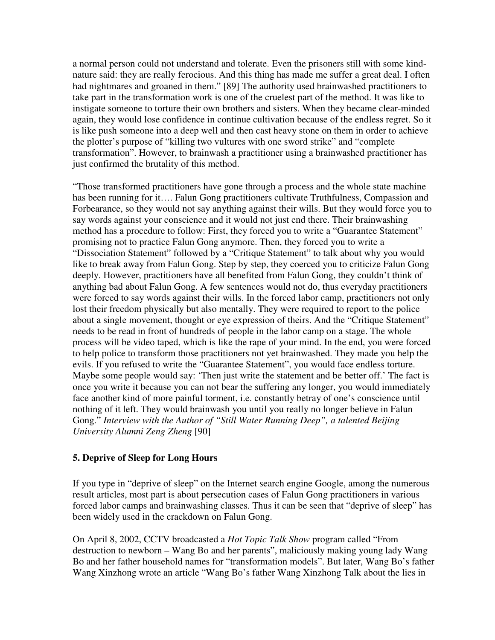a normal person could not understand and tolerate. Even the prisoners still with some kindnature said: they are really ferocious. And this thing has made me suffer a great deal. I often had nightmares and groaned in them." [89] The authority used brainwashed practitioners to take part in the transformation work is one of the cruelest part of the method. It was like to instigate someone to torture their own brothers and sisters. When they became clear-minded again, they would lose confidence in continue cultivation because of the endless regret. So it is like push someone into a deep well and then cast heavy stone on them in order to achieve the plotter's purpose of "killing two vultures with one sword strike" and "complete transformation". However, to brainwash a practitioner using a brainwashed practitioner has just confirmed the brutality of this method.

"Those transformed practitioners have gone through a process and the whole state machine has been running for it…. Falun Gong practitioners cultivate Truthfulness, Compassion and Forbearance, so they would not say anything against their wills. But they would force you to say words against your conscience and it would not just end there. Their brainwashing method has a procedure to follow: First, they forced you to write a "Guarantee Statement" promising not to practice Falun Gong anymore. Then, they forced you to write a "Dissociation Statement" followed by a "Critique Statement" to talk about why you would like to break away from Falun Gong. Step by step, they coerced you to criticize Falun Gong deeply. However, practitioners have all benefited from Falun Gong, they couldn't think of anything bad about Falun Gong. A few sentences would not do, thus everyday practitioners were forced to say words against their wills. In the forced labor camp, practitioners not only lost their freedom physically but also mentally. They were required to report to the police about a single movement, thought or eye expression of theirs. And the "Critique Statement" needs to be read in front of hundreds of people in the labor camp on a stage. The whole process will be video taped, which is like the rape of your mind. In the end, you were forced to help police to transform those practitioners not yet brainwashed. They made you help the evils. If you refused to write the "Guarantee Statement", you would face endless torture. Maybe some people would say: 'Then just write the statement and be better off.' The fact is once you write it because you can not bear the suffering any longer, you would immediately face another kind of more painful torment, i.e. constantly betray of one's conscience until nothing of it left. They would brainwash you until you really no longer believe in Falun Gong." *Interview with the Author of "Still Water Running Deep", a talented Beijing University Alumni Zeng Zheng* [90]

#### **5. Deprive of Sleep for Long Hours**

Ĩ

If you type in "deprive of sleep" on the Internet search engine Google, among the numerous result articles, most part is about persecution cases of Falun Gong practitioners in various forced labor camps and brainwashing classes. Thus it can be seen that "deprive of sleep" has been widely used in the crackdown on Falun Gong.

On April 8, 2002, CCTV broadcasted a *Hot Topic Talk Show* program called "From destruction to newborn – Wang Bo and her parents", maliciously making young lady Wang Bo and her father household names for "transformation models". But later, Wang Bo's father Wang Xinzhong wrote an article "Wang Bo's father Wang Xinzhong Talk about the lies in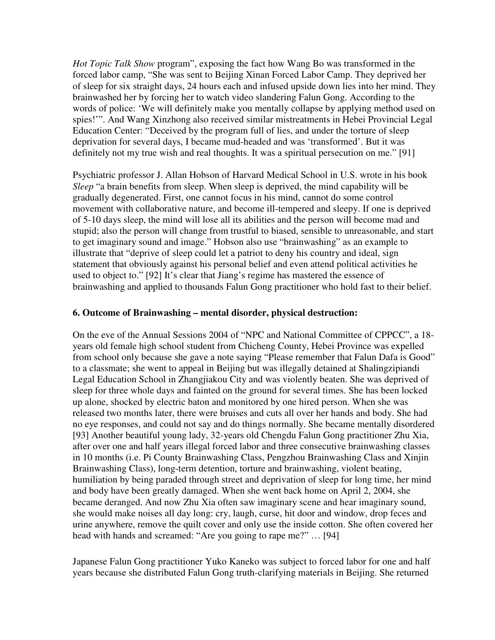*Hot Topic Talk Show* program", exposing the fact how Wang Bo was transformed in the forced labor camp, "She was sent to Beijing Xinan Forced Labor Camp. They deprived her of sleep for six straight days, 24 hours each and infused upside down lies into her mind. They brainwashed her by forcing her to watch video slandering Falun Gong. According to the words of police: 'We will definitely make you mentally collapse by applying method used on spies!'". And Wang Xinzhong also received similar mistreatments in Hebei Provincial Legal Education Center: "Deceived by the program full of lies, and under the torture of sleep deprivation for several days, I became mud-headed and was 'transformed'. But it was definitely not my true wish and real thoughts. It was a spiritual persecution on me." [91]

Psychiatric professor J. Allan Hobson of Harvard Medical School in U.S. wrote in his book *Sleep* "a brain benefits from sleep. When sleep is deprived, the mind capability will be gradually degenerated. First, one cannot focus in his mind, cannot do some control movement with collaborative nature, and become ill-tempered and sleepy. If one is deprived of 5-10 days sleep, the mind will lose all its abilities and the person will become mad and stupid; also the person will change from trustful to biased, sensible to unreasonable, and start to get imaginary sound and image." Hobson also use "brainwashing" as an example to illustrate that "deprive of sleep could let a patriot to deny his country and ideal, sign statement that obviously against his personal belief and even attend political activities he used to object to." [92] It's clear that Jiang's regime has mastered the essence of brainwashing and applied to thousands Falun Gong practitioner who hold fast to their belief.

#### **6. Outcome of Brainwashing – mental disorder, physical destruction:**

On the eve of the Annual Sessions 2004 of "NPC and National Committee of CPPCC", a 18 years old female high school student from Chicheng County, Hebei Province was expelled from school only because she gave a note saying "Please remember that Falun Dafa is Good" to a classmate; she went to appeal in Beijing but was illegally detained at Shalingzipiandi Legal Education School in Zhangjiakou City and was violently beaten. She was deprived of sleep for three whole days and fainted on the ground for several times. She has been locked up alone, shocked by electric baton and monitored by one hired person. When she was released two months later, there were bruises and cuts all over her hands and body. She had no eye responses, and could not say and do things normally. She became mentally disordered [93] Another beautiful young lady, 32-years old Chengdu Falun Gong practitioner Zhu Xia, after over one and half years illegal forced labor and three consecutive brainwashing classes in 10 months (i.e. Pi County Brainwashing Class, Pengzhou Brainwashing Class and Xinjin Brainwashing Class), long-term detention, torture and brainwashing, violent beating, humiliation by being paraded through street and deprivation of sleep for long time, her mind and body have been greatly damaged. When she went back home on April 2, 2004, she became deranged. And now Zhu Xia often saw imaginary scene and hear imaginary sound, she would make noises all day long: cry, laugh, curse, hit door and window, drop feces and urine anywhere, remove the quilt cover and only use the inside cotton. She often covered her head with hands and screamed: "Are you going to rape me?" ... [94]

Japanese Falun Gong practitioner Yuko Kaneko was subject to forced labor for one and half years because she distributed Falun Gong truth-clarifying materials in Beijing. She returned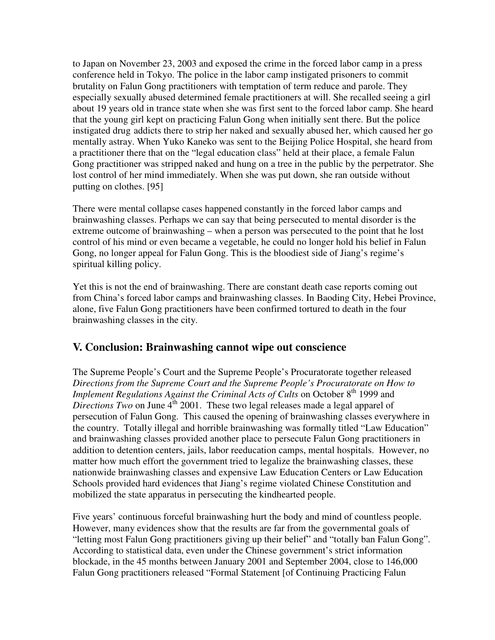to Japan on November 23, 2003 and exposed the crime in the forced labor camp in a press conference held in Tokyo. The police in the labor camp instigated prisoners to commit brutality on Falun Gong practitioners with temptation of term reduce and parole. They especially sexually abused determined female practitioners at will. She recalled seeing a girl about 19 years old in trance state when she was first sent to the forced labor camp. She heard that the young girl kept on practicing Falun Gong when initially sent there. But the police instigated drug addicts there to strip her naked and sexually abused her, which caused her go mentally astray. When Yuko Kaneko was sent to the Beijing Police Hospital, she heard from a practitioner there that on the "legal education class" held at their place, a female Falun Gong practitioner was stripped naked and hung on a tree in the public by the perpetrator. She lost control of her mind immediately. When she was put down, she ran outside without putting on clothes. [95] Ī

There were mental collapse cases happened constantly in the forced labor camps and brainwashing classes. Perhaps we can say that being persecuted to mental disorder is the extreme outcome of brainwashing – when a person was persecuted to the point that he lost control of his mind or even became a vegetable, he could no longer hold his belief in Falun Gong, no longer appeal for Falun Gong. This is the bloodiest side of Jiang's regime's spiritual killing policy.

Yet this is not the end of brainwashing. There are constant death case reports coming out from China's forced labor camps and brainwashing classes. In Baoding City, Hebei Province, alone, five Falun Gong practitioners have been confirmed tortured to death in the four brainwashing classes in the city.

## **V. Conclusion: Brainwashing cannot wipe out conscience**

The Supreme People's Court and the Supreme People's Procuratorate together released *Directions from the Supreme Court and the Supreme People's Procuratorate on How to Implement Regulations Against the Criminal Acts of Cults* on October 8<sup>th</sup> 1999 and *Directions Two* on June  $4<sup>th</sup>$  2001. These two legal releases made a legal apparel of persecution of Falun Gong. This caused the opening of brainwashing classes everywhere in the country. Totally illegal and horrible brainwashing was formally titled "Law Education" and brainwashing classes provided another place to persecute Falun Gong practitioners in addition to detention centers, jails, labor reeducation camps, mental hospitals. However, no matter how much effort the government tried to legalize the brainwashing classes, these nationwide brainwashing classes and expensive Law Education Centers or Law Education Schools provided hard evidences that Jiang's regime violated Chinese Constitution and mobilized the state apparatus in persecuting the kindhearted people.

Five years' continuous forceful brainwashing hurt the body and mind of countless people. However, many evidences show that the results are far from the governmental goals of "letting most Falun Gong practitioners giving up their belief" and "totally ban Falun Gong". According to statistical data, even under the Chinese government's strict information blockade, in the 45 months between January 2001 and September 2004, close to 146,000 Falun Gong practitioners released "Formal Statement [of Continuing Practicing Falun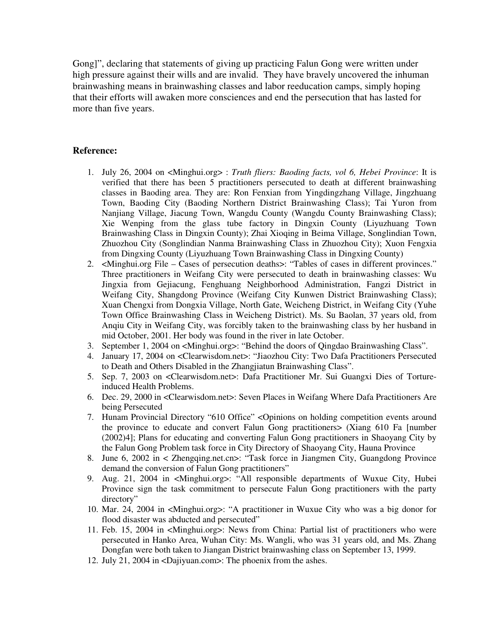Gong]", declaring that statements of giving up practicing Falun Gong were written under high pressure against their wills and are invalid. They have bravely uncovered the inhuman brainwashing means in brainwashing classes and labor reeducation camps, simply hoping that their efforts will awaken more consciences and end the persecution that has lasted for more than five years.

#### **Reference:**

- 1. July 26, 2004 on <Minghui.org> : *Truth fliers: Baoding facts, vol 6, Hebei Province*: It is verified that there has been 5 practitioners persecuted to death at different brainwashing classes in Baoding area. They are: Ron Fenxian from Yingdingzhang Village, Jingzhuang Town, Baoding City (Baoding Northern District Brainwashing Class); Tai Yuron from Nanjiang Village, Jiacung Town, Wangdu County (Wangdu County Brainwashing Class); Xie Wenping from the glass tube factory in Dingxin County (Liyuzhuang Town Brainwashing Class in Dingxin County); Zhai Xioqing in Beima Village, Songlindian Town, Zhuozhou City (Songlindian Nanma Brainwashing Class in Zhuozhou City); Xuon Fengxia from Dingxing County (Liyuzhuang Town Brainwashing Class in Dingxing County)
- 2. <Minghui.org File Cases of persecution deaths>: "Tables of cases in different provinces." Three practitioners in Weifang City were persecuted to death in brainwashing classes: Wu Jingxia from Gejiacung, Fenghuang Neighborhood Administration, Fangzi District in Weifang City, Shangdong Province (Weifang City Kunwen District Brainwashing Class); Xuan Chengxi from Dongxia Village, North Gate, Weicheng District, in Weifang City (Yuhe Town Office Brainwashing Class in Weicheng District). Ms. Su Baolan, 37 years old, from Anqiu City in Weifang City, was forcibly taken to the brainwashing class by her husband in mid October, 2001. Her body was found in the river in late October.
- 3. September 1, 2004 on <Minghui.org>: "Behind the doors of Qingdao Brainwashing Class".
- 4. January 17, 2004 on <Clearwisdom.net>: "Jiaozhou City: Two Dafa Practitioners Persecuted to Death and Others Disabled in the Zhangjiatun Brainwashing Class".
- 5. Sep. 7, 2003 on <Clearwisdom.net>: Dafa Practitioner Mr. Sui Guangxi Dies of Tortureinduced Health Problems.
- 6. Dec. 29, 2000 in <Clearwisdom.net>: Seven Places in Weifang Where Dafa Practitioners Are being Persecuted
- 7. Hunam Provincial Directory "610 Office" <Opinions on holding competition events around the province to educate and convert Falun Gong practitioners> (Xiang 610 Fa [number (2002)4]; Plans for educating and converting Falun Gong practitioners in Shaoyang City by the Falun Gong Problem task force in City Directory of Shaoyang City, Hauna Province
- 8. June 6, 2002 in < Zhengqing.net.cn>: "Task force in Jiangmen City, Guangdong Province demand the conversion of Falun Gong practitioners"
- 9. Aug. 21, 2004 in <Minghui.org>: "All responsible departments of Wuxue City, Hubei Province sign the task commitment to persecute Falun Gong practitioners with the party directory"
- 10. Mar. 24, 2004 in <Minghui.org>: "A practitioner in Wuxue City who was a big donor for flood disaster was abducted and persecuted"
- 11. Feb. 15, 2004 in <Minghui.org>: News from China: Partial list of practitioners who were persecuted in Hanko Area, Wuhan City: Ms. Wangli, who was 31 years old, and Ms. Zhang Dongfan were both taken to Jiangan District brainwashing class on September 13, 1999.
- 12. July 21, 2004 in <Dajiyuan.com>: The phoenix from the ashes.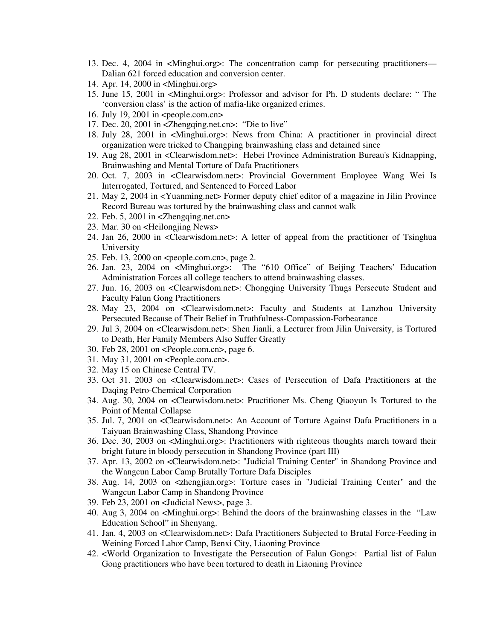- 13. Dec. 4, 2004 in <Minghui.org>: The concentration camp for persecuting practitioners— Dalian 621 forced education and conversion center.
- 14. Apr. 14, 2000 in <Minghui.org>
- 15. June 15, 2001 in <Minghui.org>: Professor and advisor for Ph. D students declare: " The 'conversion class' is the action of mafia-like organized crimes.
- 16. July 19, 2001 in <people.com.cn>
- 17. Dec. 20, 2001 in <Zhengqing.net.cn>: "Die to live"
- 18. July 28, 2001 in <Minghui.org>: News from China: A practitioner in provincial direct organization were tricked to Changping brainwashing class and detained since
- 19. Aug 28, 2001 in <Clearwisdom.net>: Hebei Province Administration Bureau's Kidnapping, Brainwashing and Mental Torture of Dafa Practitioners
- 20. Oct. 7, 2003 in <Clearwisdom.net>: Provincial Government Employee Wang Wei Is Interrogated, Tortured, and Sentenced to Forced Labor
- 21. May 2, 2004 in <Yuanming.net> Former deputy chief editor of a magazine in Jilin Province Record Bureau was tortured by the brainwashing class and cannot walk
- 22. Feb. 5, 2001 in <Zhengqing.net.cn>
- 23. Mar. 30 on <Heilongjing News>
- 24. Jan 26, 2000 in <Clearwisdom.net>: A letter of appeal from the practitioner of Tsinghua University
- 25. Feb. 13, 2000 on <people.com.cn>, page 2.
- 26. Jan. 23, 2004 on <Minghui.org>: The "610 Office" of Beijing Teachers' Education Administration Forces all college teachers to attend brainwashing classes.
- 27. Jun. 16, 2003 on <Clearwisdom.net>: Chongqing University Thugs Persecute Student and Faculty Falun Gong Practitioners
- 28. May 23, 2004 on <Clearwisdom.net>: Faculty and Students at Lanzhou University Persecuted Because of Their Belief in Truthfulness-Compassion-Forbearance
- 29. Jul 3, 2004 on <Clearwisdom.net>: Shen Jianli, a Lecturer from Jilin University, is Tortured to Death, Her Family Members Also Suffer Greatly
- 30. Feb 28, 2001 on <People.com.cn>, page 6.
- 31. May 31, 2001 on <People.com.cn>.
- 32. May 15 on Chinese Central TV.
- 33. Oct 31. 2003 on <Clearwisdom.net>: Cases of Persecution of Dafa Practitioners at the Daqing Petro-Chemical Corporation
- 34. Aug. 30, 2004 on <Clearwisdom.net>: Practitioner Ms. Cheng Qiaoyun Is Tortured to the Point of Mental Collapse
- 35. Jul. 7, 2001 on <Clearwisdom.net>: An Account of Torture Against Dafa Practitioners in a Taiyuan Brainwashing Class, Shandong Province
- 36. Dec. 30, 2003 on <Minghui.org>: Practitioners with righteous thoughts march toward their bright future in bloody persecution in Shandong Province (part III)
- 37. Apr. 13, 2002 on <Clearwisdom.net>: "Judicial Training Center" in Shandong Province and the Wangcun Labor Camp Brutally Torture Dafa Disciples
- 38. Aug. 14, 2003 on <zhengjian.org>: Torture cases in "Judicial Training Center" and the Wangcun Labor Camp in Shandong Province
- 39. Feb 23, 2001 on <Judicial News>, page 3.
- 40. Aug 3, 2004 on <Minghui.org>: Behind the doors of the brainwashing classes in the "Law Education School" in Shenyang.
- 41. Jan. 4, 2003 on <Clearwisdom.net>: Dafa Practitioners Subjected to Brutal Force-Feeding in Weining Forced Labor Camp, Benxi City, Liaoning Province
- 42. <World Organization to Investigate the Persecution of Falun Gong>: Partial list of Falun Gong practitioners who have been tortured to death in Liaoning Province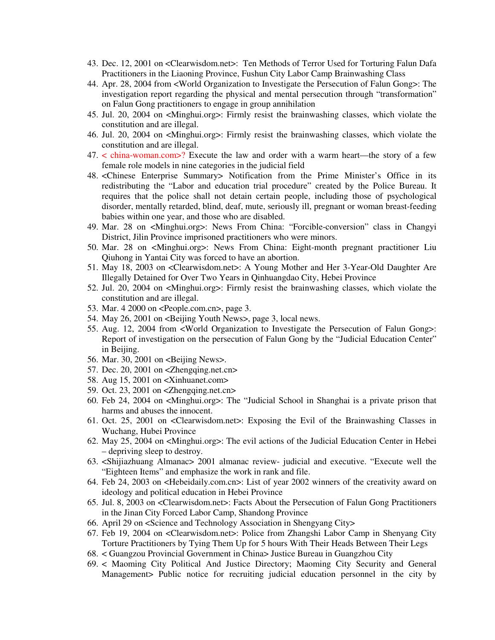- 43. Dec. 12, 2001 on <Clearwisdom.net>: Ten Methods of Terror Used for Torturing Falun Dafa Practitioners in the Liaoning Province, Fushun City Labor Camp Brainwashing Class
- 44. Apr. 28, 2004 from <World Organization to Investigate the Persecution of Falun Gong>: The investigation report regarding the physical and mental persecution through "transformation" on Falun Gong practitioners to engage in group annihilation
- 45. Jul. 20, 2004 on <Minghui.org>: Firmly resist the brainwashing classes, which violate the constitution and are illegal.
- 46. Jul. 20, 2004 on <Minghui.org>: Firmly resist the brainwashing classes, which violate the constitution and are illegal.
- 47. < china-woman.com>? Execute the law and order with a warm heart—the story of a few female role models in nine categories in the judicial field
- 48. <Chinese Enterprise Summary> Notification from the Prime Minister's Office in its redistributing the "Labor and education trial procedure" created by the Police Bureau. It requires that the police shall not detain certain people, including those of psychological disorder, mentally retarded, blind, deaf, mute, seriously ill, pregnant or woman breast-feeding babies within one year, and those who are disabled.
- 49. Mar. 28 on <Minghui.org>: News From China: "Forcible-conversion" class in Changyi District, Jilin Province imprisoned practitioners who were minors.
- 50. Mar. 28 on <Minghui.org>: News From China: Eight-month pregnant practitioner Liu Qiuhong in Yantai City was forced to have an abortion.
- 51. May 18, 2003 on <Clearwisdom.net>: A Young Mother and Her 3-Year-Old Daughter Are Illegally Detained for Over Two Years in Qinhuangdao City, Hebei Province
- 52. Jul. 20, 2004 on <Minghui.org>: Firmly resist the brainwashing classes, which violate the constitution and are illegal.
- 53. Mar. 4 2000 on <People.com.cn>, page 3.
- 54. May 26, 2001 on <Beijing Youth News>, page 3, local news.
- 55. Aug. 12, 2004 from <World Organization to Investigate the Persecution of Falun Gong>: Report of investigation on the persecution of Falun Gong by the "Judicial Education Center" in Beijing.
- 56. Mar. 30, 2001 on <Beijing News>.
- 57. Dec. 20, 2001 on <Zhengqing.net.cn>
- 58. Aug 15, 2001 on <Xinhuanet.com>
- 59. Oct. 23, 2001 on <Zhengqing.net.cn>
- 60. Feb 24, 2004 on <Minghui.org>: The "Judicial School in Shanghai is a private prison that harms and abuses the innocent.
- 61. Oct. 25, 2001 on <Clearwisdom.net>: Exposing the Evil of the Brainwashing Classes in Wuchang, Hubei Province
- 62. May 25, 2004 on <Minghui.org>: The evil actions of the Judicial Education Center in Hebei – depriving sleep to destroy.
- 63. <Shijiazhuang Almanac> 2001 almanac review- judicial and executive. "Execute well the "Eighteen Items" and emphasize the work in rank and file.
- 64. Feb 24, 2003 on <Hebeidaily.com.cn>: List of year 2002 winners of the creativity award on ideology and political education in Hebei Province
- 65. Jul. 8, 2003 on <Clearwisdom.net>: Facts About the Persecution of Falun Gong Practitioners in the Jinan City Forced Labor Camp, Shandong Province
- 66. April 29 on <Science and Technology Association in Shengyang City>
- 67. Feb 19, 2004 on <Clearwisdom.net>: Police from Zhangshi Labor Camp in Shenyang City Torture Practitioners by Tying Them Up for 5 hours With Their Heads Between Their Legs
- 68. < Guangzou Provincial Government in China> Justice Bureau in Guangzhou City
- 69. < Maoming City Political And Justice Directory; Maoming City Security and General Management> Public notice for recruiting judicial education personnel in the city by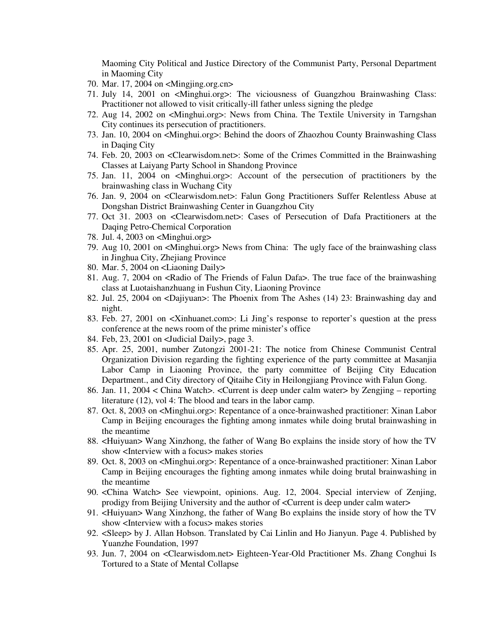Maoming City Political and Justice Directory of the Communist Party, Personal Department in Maoming City

- 70. Mar. 17, 2004 on <Mingjing.org.cn>
- 71. July 14, 2001 on <Minghui.org>: The viciousness of Guangzhou Brainwashing Class: Practitioner not allowed to visit critically-ill father unless signing the pledge
- 72. Aug 14, 2002 on <Minghui.org>: News from China. The Textile University in Tarngshan City continues its persecution of practitioners.
- 73. Jan. 10, 2004 on <Minghui.org>: Behind the doors of Zhaozhou County Brainwashing Class in Daqing City
- 74. Feb. 20, 2003 on <Clearwisdom.net>: Some of the Crimes Committed in the Brainwashing Classes at Laiyang Party School in Shandong Province
- 75. Jan. 11, 2004 on <Minghui.org>: Account of the persecution of practitioners by the brainwashing class in Wuchang City
- 76. Jan. 9, 2004 on <Clearwisdom.net>: Falun Gong Practitioners Suffer Relentless Abuse at Dongshan District Brainwashing Center in Guangzhou City
- 77. Oct 31. 2003 on <Clearwisdom.net>: Cases of Persecution of Dafa Practitioners at the Daqing Petro-Chemical Corporation
- 78. Jul. 4, 2003 on <Minghui.org>
- 79. Aug 10, 2001 on <Minghui.org> News from China: The ugly face of the brainwashing class in Jinghua City, Zhejiang Province
- 80. Mar. 5, 2004 on <Liaoning Daily>
- 81. Aug. 7, 2004 on <Radio of The Friends of Falun Dafa>. The true face of the brainwashing class at Luotaishanzhuang in Fushun City, Liaoning Province
- 82. Jul. 25, 2004 on <Dajiyuan>: The Phoenix from The Ashes (14) 23: Brainwashing day and night.
- 83. Feb. 27, 2001 on <Xinhuanet.com>: Li Jing's response to reporter's question at the press conference at the news room of the prime minister's office
- 84. Feb, 23, 2001 on <Judicial Daily>, page 3.
- 85. Apr. 25, 2001, number Zutongzi 2001-21: The notice from Chinese Communist Central Organization Division regarding the fighting experience of the party committee at Masanjia Labor Camp in Liaoning Province, the party committee of Beijing City Education Department., and City directory of Qitaihe City in Heilongjiang Province with Falun Gong.
- 86. Jan. 11, 2004 < China Watch>. <Current is deep under calm water> by Zengjing reporting literature (12), vol 4: The blood and tears in the labor camp.
- 87. Oct. 8, 2003 on <Minghui.org>: Repentance of a once-brainwashed practitioner: Xinan Labor Camp in Beijing encourages the fighting among inmates while doing brutal brainwashing in the meantime
- 88. <Huiyuan> Wang Xinzhong, the father of Wang Bo explains the inside story of how the TV show <Interview with a focus> makes stories
- 89. Oct. 8, 2003 on <Minghui.org>: Repentance of a once-brainwashed practitioner: Xinan Labor Camp in Beijing encourages the fighting among inmates while doing brutal brainwashing in the meantime
- 90. <China Watch> See viewpoint, opinions. Aug. 12, 2004. Special interview of Zenjing, prodigy from Beijing University and the author of <Current is deep under calm water>
- 91. <Huiyuan> Wang Xinzhong, the father of Wang Bo explains the inside story of how the TV show <Interview with a focus> makes stories
- 92. <Sleep> by J. Allan Hobson. Translated by Cai Linlin and Ho Jianyun. Page 4. Published by Yuanzhe Foundation, 1997
- 93. Jun. 7, 2004 on <Clearwisdom.net> Eighteen-Year-Old Practitioner Ms. Zhang Conghui Is Tortured to a State of Mental Collapse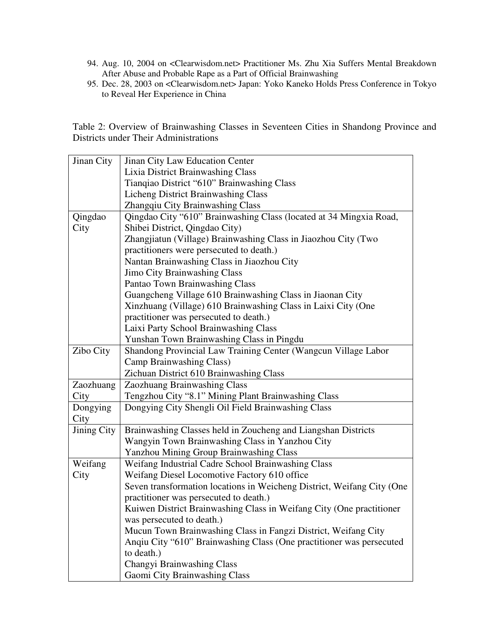- 94. Aug. 10, 2004 on <Clearwisdom.net> Practitioner Ms. Zhu Xia Suffers Mental Breakdown After Abuse and Probable Rape as a Part of Official Brainwashing
- 95. Dec. 28, 2003 on <Clearwisdom.net> Japan: Yoko Kaneko Holds Press Conference in Tokyo to Reveal Her Experience in China

Table 2: Overview of Brainwashing Classes in Seventeen Cities in Shandong Province and Districts under Their Administrations

| Jinan City         | Jinan City Law Education Center                                        |
|--------------------|------------------------------------------------------------------------|
|                    | Lixia District Brainwashing Class                                      |
|                    | Tianqiao District "610" Brainwashing Class                             |
|                    | <b>Licheng District Brainwashing Class</b>                             |
|                    | Zhangqiu City Brainwashing Class                                       |
| Qingdao            | Qingdao City "610" Brainwashing Class (located at 34 Mingxia Road,     |
| City               | Shibei District, Qingdao City)                                         |
|                    | Zhangjiatun (Village) Brainwashing Class in Jiaozhou City (Two         |
|                    | practitioners were persecuted to death.)                               |
|                    | Nantan Brainwashing Class in Jiaozhou City                             |
|                    | <b>Jimo City Brainwashing Class</b>                                    |
|                    | Pantao Town Brainwashing Class                                         |
|                    | Guangcheng Village 610 Brainwashing Class in Jiaonan City              |
|                    | Xinzhuang (Village) 610 Brainwashing Class in Laixi City (One          |
|                    | practitioner was persecuted to death.)                                 |
|                    | Laixi Party School Brainwashing Class                                  |
|                    | Yunshan Town Brainwashing Class in Pingdu                              |
| Zibo City          | Shandong Provincial Law Training Center (Wangcun Village Labor         |
|                    | Camp Brainwashing Class)                                               |
|                    | Zichuan District 610 Brainwashing Class                                |
| Zaozhuang          | Zaozhuang Brainwashing Class                                           |
| City               | Tengzhou City "8.1" Mining Plant Brainwashing Class                    |
| Dongying           | Dongying City Shengli Oil Field Brainwashing Class                     |
| City               |                                                                        |
| <b>Jining City</b> | Brainwashing Classes held in Zoucheng and Liangshan Districts          |
|                    | Wangyin Town Brainwashing Class in Yanzhou City                        |
|                    | <b>Yanzhou Mining Group Brainwashing Class</b>                         |
| Weifang            | Weifang Industrial Cadre School Brainwashing Class                     |
| City               | Weifang Diesel Locomotive Factory 610 office                           |
|                    | Seven transformation locations in Weicheng District, Weifang City (One |
|                    | practitioner was persecuted to death.)                                 |
|                    | Kuiwen District Brainwashing Class in Weifang City (One practitioner   |
|                    | was persecuted to death.)                                              |
|                    | Mucun Town Brainwashing Class in Fangzi District, Weifang City         |
|                    | Anqiu City "610" Brainwashing Class (One practitioner was persecuted   |
|                    | to death.)                                                             |
|                    | Changyi Brainwashing Class                                             |
|                    |                                                                        |
|                    | Gaomi City Brainwashing Class                                          |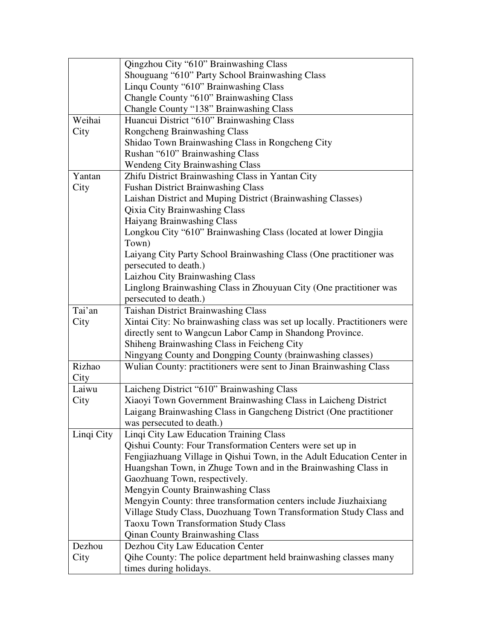|            | Qingzhou City "610" Brainwashing Class                                    |
|------------|---------------------------------------------------------------------------|
|            | Shouguang "610" Party School Brainwashing Class                           |
|            | Linqu County "610" Brainwashing Class                                     |
|            | Changle County "610" Brainwashing Class                                   |
|            | Changle County "138" Brainwashing Class                                   |
| Weihai     | Huancui District "610" Brainwashing Class                                 |
| City       | Rongcheng Brainwashing Class                                              |
|            | Shidao Town Brainwashing Class in Rongcheng City                          |
|            | Rushan "610" Brainwashing Class                                           |
|            | <b>Wendeng City Brainwashing Class</b>                                    |
| Yantan     | Zhifu District Brainwashing Class in Yantan City                          |
| City       | <b>Fushan District Brainwashing Class</b>                                 |
|            | Laishan District and Muping District (Brainwashing Classes)               |
|            | <b>Qixia City Brainwashing Class</b>                                      |
|            | Haiyang Brainwashing Class                                                |
|            | Longkou City "610" Brainwashing Class (located at lower Dingjia           |
|            | Town)                                                                     |
|            | Laiyang City Party School Brainwashing Class (One practitioner was        |
|            | persecuted to death.)                                                     |
|            | Laizhou City Brainwashing Class                                           |
|            | Linglong Brainwashing Class in Zhouyuan City (One practitioner was        |
|            | persecuted to death.)                                                     |
| Tai'an     | <b>Taishan District Brainwashing Class</b>                                |
| City       | Xintai City: No brainwashing class was set up locally. Practitioners were |
|            | directly sent to Wangcun Labor Camp in Shandong Province.                 |
|            | Shiheng Brainwashing Class in Feicheng City                               |
|            | Ningyang County and Dongping County (brainwashing classes)                |
| Rizhao     | Wulian County: practitioners were sent to Jinan Brainwashing Class        |
| City       |                                                                           |
| Laiwu      | Laicheng District "610" Brainwashing Class                                |
| City       | Xiaoyi Town Government Brainwashing Class in Laicheng District            |
|            | Laigang Brainwashing Class in Gangcheng District (One practitioner        |
|            | was persecuted to death.)                                                 |
| Linqi City | Linqi City Law Education Training Class                                   |
|            | Qishui County: Four Transformation Centers were set up in                 |
|            | Fengjiazhuang Village in Qishui Town, in the Adult Education Center in    |
|            | Huangshan Town, in Zhuge Town and in the Brainwashing Class in            |
|            | Gaozhuang Town, respectively.                                             |
|            | <b>Mengyin County Brainwashing Class</b>                                  |
|            | Mengyin County: three transformation centers include Jiuzhaixiang         |
|            | Village Study Class, Duozhuang Town Transformation Study Class and        |
|            | <b>Taoxu Town Transformation Study Class</b>                              |
|            | <b>Qinan County Brainwashing Class</b>                                    |
| Dezhou     | Dezhou City Law Education Center                                          |
| City       | Qihe County: The police department held brainwashing classes many         |
|            | times during holidays.                                                    |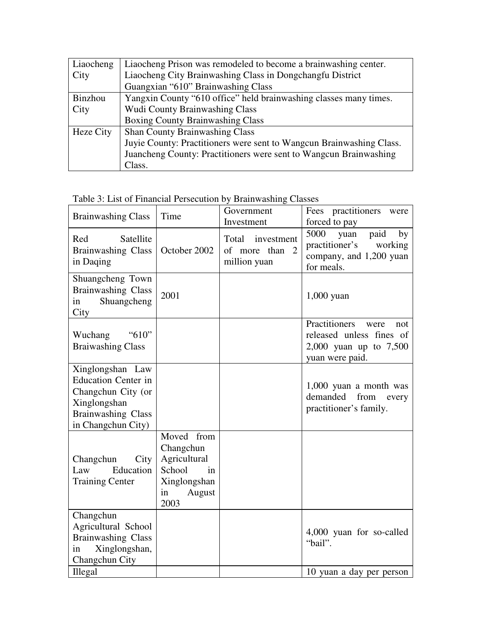| Liaocheng | Liaocheng Prison was remodeled to become a brainwashing center.      |
|-----------|----------------------------------------------------------------------|
| City      | Liaocheng City Brainwashing Class in Dongchangfu District            |
|           | Guangxian "610" Brainwashing Class                                   |
| Binzhou   | Yangxin County "610 office" held brainwashing classes many times.    |
| City      | <b>Wudi County Brainwashing Class</b>                                |
|           | <b>Boxing County Brainwashing Class</b>                              |
| Heze City | Shan County Brainwashing Class                                       |
|           | Juvie County: Practitioners were sent to Wangcun Brainwashing Class. |
|           | Juancheng County: Practitioners were sent to Wangcun Brainwashing    |
|           | Class.                                                               |

Table 3: List of Financial Persecution by Brainwashing Classes

| <b>Brainwashing Class</b>                                                                                                               | Time                                                                                            | Government<br>Investment                                              | Fees practitioners<br>were<br>forced to pay                                                           |
|-----------------------------------------------------------------------------------------------------------------------------------------|-------------------------------------------------------------------------------------------------|-----------------------------------------------------------------------|-------------------------------------------------------------------------------------------------------|
| Satellite<br>Red<br><b>Brainwashing Class</b><br>in Daqing                                                                              | October 2002                                                                                    | Total<br>investment<br>of more than<br>$\overline{2}$<br>million yuan | 5000<br>yuan<br>paid<br>by<br>practitioner's<br>working<br>company, and 1,200 yuan<br>for meals.      |
| Shuangcheng Town<br><b>Brainwashing Class</b><br>Shuangcheng<br>in<br>City                                                              | 2001                                                                                            |                                                                       | $1,000$ yuan                                                                                          |
| "610"<br>Wuchang<br><b>Braiwashing Class</b>                                                                                            |                                                                                                 |                                                                       | Practitioners<br>were<br>not<br>released unless fines of<br>2,000 yuan up to 7,500<br>yuan were paid. |
| Xinglongshan Law<br><b>Education Center in</b><br>Changchun City (or<br>Xinglongshan<br><b>Brainwashing Class</b><br>in Changchun City) |                                                                                                 |                                                                       | 1,000 yuan a month was<br>demanded<br>from<br>every<br>practitioner's family.                         |
| Changchun<br>City<br>Law<br>Education<br><b>Training Center</b>                                                                         | Moved from<br>Changchun<br>Agricultural<br>School<br>in<br>Xinglongshan<br>August<br>in<br>2003 |                                                                       |                                                                                                       |
| Changchun<br>Agricultural School<br><b>Brainwashing Class</b><br>Xinglongshan,<br>in<br>Changchun City                                  |                                                                                                 |                                                                       | 4,000 yuan for so-called<br>"bail".                                                                   |
| Illegal                                                                                                                                 |                                                                                                 |                                                                       | 10 yuan a day per person                                                                              |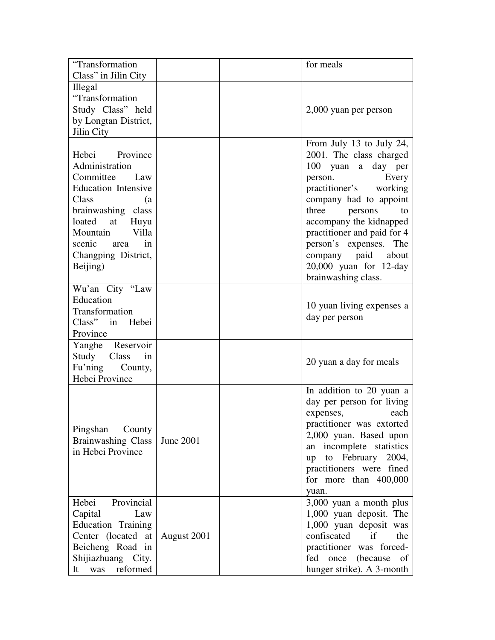| "Transformation<br>Class" in Jilin City                                                                                                                                                                                      |             | for meals                                                                                                                                                                                                                                                                                                                  |             |
|------------------------------------------------------------------------------------------------------------------------------------------------------------------------------------------------------------------------------|-------------|----------------------------------------------------------------------------------------------------------------------------------------------------------------------------------------------------------------------------------------------------------------------------------------------------------------------------|-------------|
| <b>Illegal</b><br>"Transformation<br>Study Class" held<br>by Longtan District,<br>Jilin City                                                                                                                                 |             | 2,000 yuan per person                                                                                                                                                                                                                                                                                                      |             |
| Hebei Province<br>Administration<br>Committee Law<br><b>Education Intensive</b><br>Class<br>(a<br>brainwashing class<br>loated<br>at<br>Huyu<br>Mountain<br>Villa<br>scenic<br>in<br>area<br>Changping District,<br>Beijing) |             | From July 13 to July 24,<br>2001. The class charged<br>100<br>yuan a day per<br>person.<br>practitioner's working<br>company had to appoint<br>three<br>persons<br>accompany the kidnapped<br>practitioner and paid for 4<br>person's expenses. The<br>company paid about<br>20,000 yuan for 12-day<br>brainwashing class. | Every<br>to |
| Wu'an City "Law<br>Education<br>Transformation<br>Class" in Hebei<br>Province                                                                                                                                                |             | 10 yuan living expenses a<br>day per person                                                                                                                                                                                                                                                                                |             |
| Yanghe Reservoir<br>Study<br>Class<br>in<br>Fu'ning<br>County,<br>Hebei Province                                                                                                                                             |             | 20 yuan a day for meals                                                                                                                                                                                                                                                                                                    |             |
| Pingshan<br>County<br><b>Brainwashing Class</b><br>in Hebei Province                                                                                                                                                         | June 2001   | In addition to 20 yuan a<br>day per person for living<br>expenses,<br>practitioner was extorted<br>2,000 yuan. Based upon<br>an incomplete statistics<br>to February 2004,<br>up<br>practitioners were fined<br>for more than 400,000<br>yuan.                                                                             | each        |
| Provincial<br>Hebei<br>Capital<br>Law<br>Education Training<br>Center (located at<br>Beicheng Road in<br>Shijiazhuang City.<br>reformed<br>It<br>was                                                                         | August 2001 | 3,000 yuan a month plus<br>1,000 yuan deposit. The<br>1,000 yuan deposit was<br>confiscated if<br>practitioner was forced-<br>once (because<br>fed<br>hunger strike). A 3-month                                                                                                                                            | the<br>of   |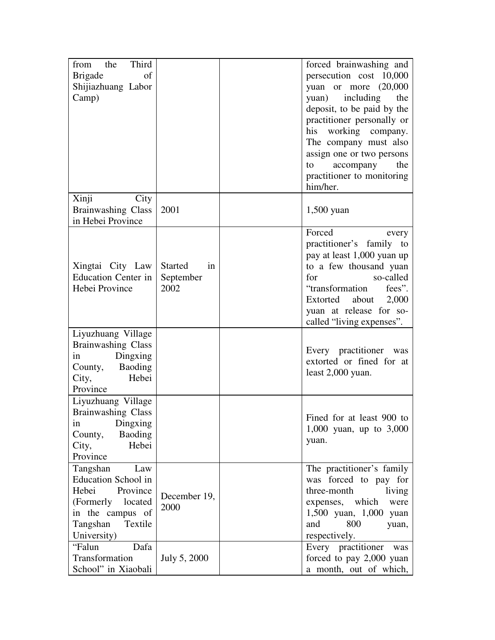| Third<br>the<br>from<br><b>Brigade</b><br>of<br>Shijiazhuang Labor<br>Camp)                                                                   |                                           | forced brainwashing and<br>persecution cost 10,000<br>yuan or more $(20,000)$<br>yuan) including<br>the<br>deposit, to be paid by the<br>practitioner personally or<br>his working company.                                                |
|-----------------------------------------------------------------------------------------------------------------------------------------------|-------------------------------------------|--------------------------------------------------------------------------------------------------------------------------------------------------------------------------------------------------------------------------------------------|
|                                                                                                                                               |                                           | The company must also<br>assign one or two persons<br>the<br>accompany<br>to<br>practitioner to monitoring<br>him/her.                                                                                                                     |
| Xinji<br>City<br><b>Brainwashing Class</b><br>in Hebei Province                                                                               | 2001                                      | $1,500$ yuan                                                                                                                                                                                                                               |
| Xingtai City Law<br><b>Education Center in</b><br>Hebei Province                                                                              | <b>Started</b><br>in<br>September<br>2002 | Forced<br>every<br>practitioner's family to<br>pay at least 1,000 yuan up<br>to a few thousand yuan<br>so-called<br>for<br>"transformation<br>fees".<br>Extorted<br>about<br>2,000<br>yuan at release for so-<br>called "living expenses". |
| Liyuzhuang Village<br><b>Brainwashing Class</b><br>Dingxing<br>in<br>County, Baoding<br>City,<br>Hebei<br>Province                            |                                           | Every practitioner was<br>extorted or fined for at<br>least $2,000$ yuan.                                                                                                                                                                  |
| Liyuzhuang Village<br><b>Brainwashing Class</b><br>Dingxing<br>1n<br><b>Baoding</b><br>County,<br>Hebei<br>City,<br>Province                  |                                           | Fined for at least 900 to<br>1,000 yuan, up to $3,000$<br>yuan.                                                                                                                                                                            |
| Tangshan<br>Law<br>Education School in<br>Hebei<br>Province<br>(Formerly<br>located<br>in the campus of<br>Tangshan<br>Textile<br>University) | December 19,<br>2000                      | The practitioner's family<br>was forced to pay for<br>three-month<br>living<br>expenses, which<br>were<br>1,500 yuan, 1,000 yuan<br>and<br>800<br>yuan,<br>respectively.                                                                   |
| Dafa<br>"Falun<br>Transformation<br>School" in Xiaobali                                                                                       | July 5, 2000                              | Every practitioner was<br>forced to pay 2,000 yuan<br>a month, out of which,                                                                                                                                                               |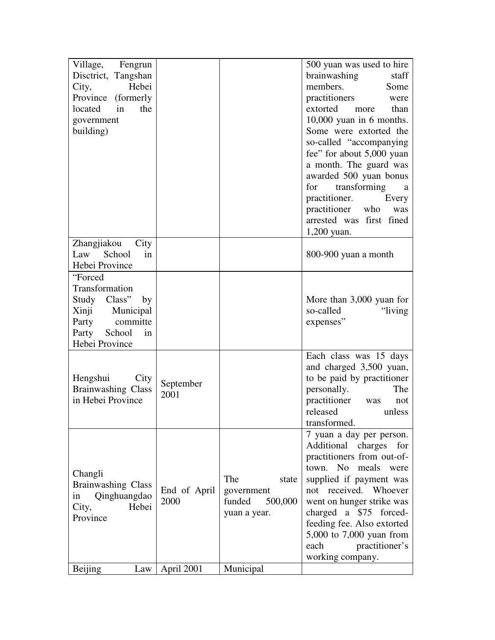| Village,<br>Fengrun                  |              |                   | 500 yuan was used to hire  |
|--------------------------------------|--------------|-------------------|----------------------------|
| Disctrict, Tangshan                  |              |                   | brainwashing<br>staff      |
| Hebei<br>City,                       |              |                   | members.<br>Some           |
| Province<br>(formerly)               |              |                   | practitioners<br>were      |
| located<br>in<br>the                 |              |                   | extorted<br>than<br>more   |
| government                           |              |                   | $10,000$ yuan in 6 months. |
| building)                            |              |                   | Some were extorted the     |
|                                      |              |                   | so-called "accompanying    |
|                                      |              |                   | fee" for about 5,000 yuan  |
|                                      |              |                   | a month. The guard was     |
|                                      |              |                   | awarded 500 yuan bonus     |
|                                      |              |                   | transforming<br>for<br>a   |
|                                      |              |                   | practitioner.<br>Every     |
|                                      |              |                   | practitioner who<br>was    |
|                                      |              |                   | arrested was first fined   |
|                                      |              |                   | $1,200$ yuan.              |
| Zhangjiakou<br>City                  |              |                   |                            |
| School<br>Law<br>in                  |              |                   | 800-900 yuan a month       |
| Hebei Province                       |              |                   |                            |
| "Forced                              |              |                   |                            |
| Transformation                       |              |                   |                            |
| Study Class"<br>by                   |              |                   | More than 3,000 yuan for   |
| Xinji Municipal                      |              |                   | so-called<br>"living"      |
| committe<br>Party                    |              |                   | expenses"                  |
| Party<br>School<br>in                |              |                   |                            |
| Hebei Province                       |              |                   |                            |
|                                      |              |                   | Each class was 15 days     |
|                                      |              |                   | and charged 3,500 yuan,    |
| Hengshui<br>City                     | September    |                   | to be paid by practitioner |
| <b>Brainwashing Class</b>            | 2001         |                   | personally.<br>The         |
| in Hebei Province                    |              |                   | practitioner was<br>not    |
|                                      |              |                   | released<br>unless         |
|                                      |              |                   | transformed.               |
|                                      |              |                   | 7 yuan a day per person.   |
|                                      |              |                   | Additional charges for     |
|                                      |              |                   | practitioners from out-of- |
|                                      |              |                   | town. No meals<br>were     |
| Changli<br><b>Brainwashing Class</b> |              | The<br>state      | supplied if payment was    |
|                                      | End of April | government        | not received. Whoever      |
| Qinghuangdao<br>in<br>City,<br>Hebei | 2000         | funded<br>500,000 | went on hunger strike was  |
| Province                             |              | yuan a year.      | charged a \$75 forced-     |
|                                      |              |                   | feeding fee. Also extorted |
|                                      |              |                   | 5,000 to 7,000 yuan from   |
|                                      |              |                   | each<br>practitioner's     |
|                                      |              |                   | working company.           |
| Beijing<br>Law                       | April 2001   | Municipal         |                            |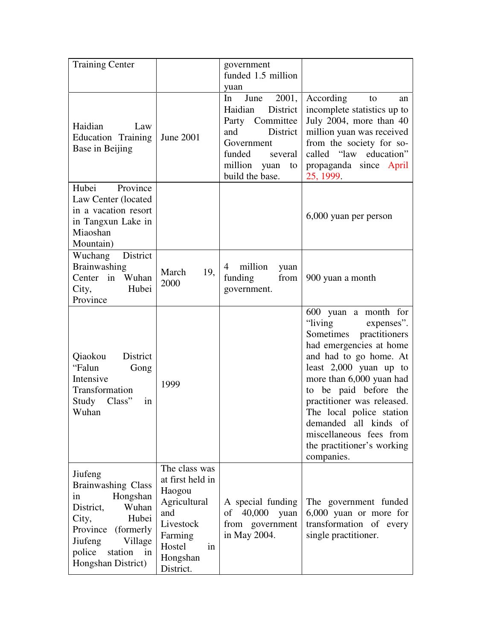| <b>Training Center</b>                                                                                                                                                                          |                                                                                                                                     | government<br>funded 1.5 million<br>yuan                                                                                                                     |                                                                                                                                                                                                                                                                                                                                                                          |
|-------------------------------------------------------------------------------------------------------------------------------------------------------------------------------------------------|-------------------------------------------------------------------------------------------------------------------------------------|--------------------------------------------------------------------------------------------------------------------------------------------------------------|--------------------------------------------------------------------------------------------------------------------------------------------------------------------------------------------------------------------------------------------------------------------------------------------------------------------------------------------------------------------------|
| Haidian<br>Law<br>Education Training<br>Base in Beijing                                                                                                                                         | June 2001                                                                                                                           | 2001,<br>In<br>June<br>Haidian<br>District<br>Party Committee<br>and<br>District<br>Government<br>funded<br>several<br>million yuan<br>to<br>build the base. | According<br>to<br>an<br>incomplete statistics up to<br>July 2004, more than 40<br>million yuan was received<br>from the society for so-<br>called "law education"<br>propaganda since April<br>25, 1999.                                                                                                                                                                |
| Hubei<br>Province<br>Law Center (located<br>in a vacation resort<br>in Tangxun Lake in<br>Miaoshan<br>Mountain)                                                                                 |                                                                                                                                     |                                                                                                                                                              | 6,000 yuan per person                                                                                                                                                                                                                                                                                                                                                    |
| District<br>Wuchang<br>Brainwashing<br>Center in Wuhan<br>City,<br>Hubei<br>Province                                                                                                            | March<br>19,<br>2000                                                                                                                | million<br>4<br>yuan<br>funding<br>from<br>government.                                                                                                       | 900 yuan a month                                                                                                                                                                                                                                                                                                                                                         |
| Qiaokou<br>District<br>"Falun<br>Gong<br>Intensive<br>Transformation<br>Study Class"<br>1n<br>Wuhan                                                                                             | 1999                                                                                                                                |                                                                                                                                                              | 600 yuan a month for<br>"living expenses".<br>Sometimes practitioners<br>had emergencies at home<br>and had to go home. At<br>least $2,000$ yuan up to<br>more than 6,000 yuan had<br>to be paid before the<br>practitioner was released.<br>The local police station<br>demanded all<br>kinds of<br>miscellaneous fees from<br>the practitioner's working<br>companies. |
| Jiufeng<br><b>Brainwashing Class</b><br>Hongshan<br>in<br>Wuhan<br>District,<br>Hubei<br>City,<br>Province<br>(formerly)<br>Village<br>Jiufeng<br>police<br>station<br>in<br>Hongshan District) | The class was<br>at first held in<br>Haogou<br>Agricultural<br>and<br>Livestock<br>Farming<br>Hostel<br>in<br>Hongshan<br>District. | A special funding<br>of 40,000<br>yuan<br>from government<br>in May 2004.                                                                                    | The government funded<br>6,000 yuan or more for<br>transformation of every<br>single practitioner.                                                                                                                                                                                                                                                                       |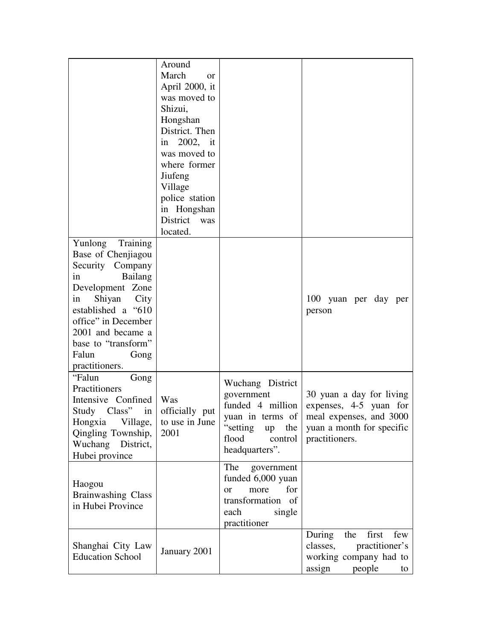|                                                                                                                                                                                                                                                     | Around<br>March<br><b>or</b><br>April 2000, it<br>was moved to<br>Shizui,<br>Hongshan<br>District. Then<br>in 2002, it<br>was moved to<br>where former<br>Jiufeng<br>Village<br>police station<br>in Hongshan<br>District was<br>located. |                                                                                                                                        |                                                                                                                              |
|-----------------------------------------------------------------------------------------------------------------------------------------------------------------------------------------------------------------------------------------------------|-------------------------------------------------------------------------------------------------------------------------------------------------------------------------------------------------------------------------------------------|----------------------------------------------------------------------------------------------------------------------------------------|------------------------------------------------------------------------------------------------------------------------------|
| Yunlong<br>Training<br>Base of Chenjiagou<br>Security Company<br>Bailang<br>in<br>Development Zone<br>Shiyan City<br>in<br>established a "610<br>office" in December<br>2001 and became a<br>base to "transform"<br>Falun<br>Gong<br>practitioners. |                                                                                                                                                                                                                                           |                                                                                                                                        | 100 yuan per day per<br>person                                                                                               |
| "Falun<br>Gong<br>Practitioners<br>Intensive Confined<br>Study Class"<br>in<br>Village,<br>Hongxia<br>Qingling Township,<br>Wuchang District,<br>Hubei province                                                                                     | Was<br>officially put<br>to use in June<br>2001                                                                                                                                                                                           | Wuchang District<br>government<br>funded 4 million<br>yuan in terms of<br>"setting"<br>the<br>up<br>flood<br>control<br>headquarters". | 30 yuan a day for living<br>expenses, 4-5 yuan for<br>meal expenses, and 3000<br>yuan a month for specific<br>practitioners. |
| Haogou<br><b>Brainwashing Class</b><br>in Hubei Province                                                                                                                                                                                            |                                                                                                                                                                                                                                           | The<br>government<br>funded 6,000 yuan<br>for<br>more<br><b>or</b><br>transformation of<br>each<br>single<br>practitioner              |                                                                                                                              |
| Shanghai City Law<br><b>Education School</b>                                                                                                                                                                                                        | January 2001                                                                                                                                                                                                                              |                                                                                                                                        | During<br>the<br>first<br>few<br>classes,<br>practitioner's<br>working company had to<br>assign<br>people<br>to              |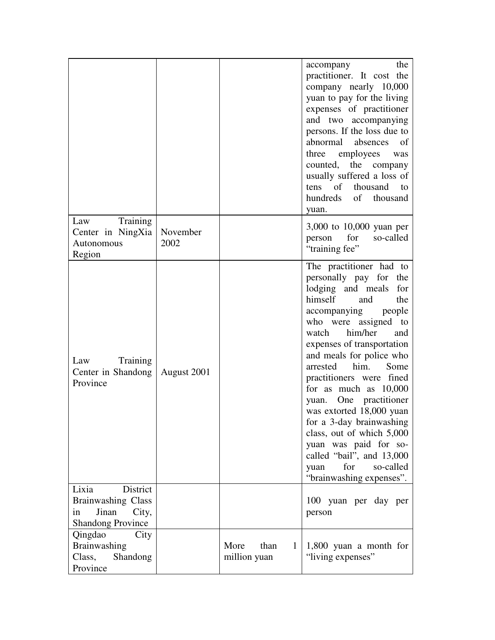|                                                                                                    |                  |                                              | the<br>accompany<br>practitioner. It cost the<br>company nearly 10,000<br>yuan to pay for the living<br>expenses of practitioner<br>and two accompanying<br>persons. If the loss due to<br>abnormal<br>absences<br>of<br>employees<br>three<br>was<br>the company<br>counted,<br>usually suffered a loss of<br>tens of thousand<br>to<br>hundreds<br>of thousand<br>yuan.                                                                                                                                                                             |
|----------------------------------------------------------------------------------------------------|------------------|----------------------------------------------|-------------------------------------------------------------------------------------------------------------------------------------------------------------------------------------------------------------------------------------------------------------------------------------------------------------------------------------------------------------------------------------------------------------------------------------------------------------------------------------------------------------------------------------------------------|
| Training<br>Law<br>Center in NingXia<br>Autonomous<br>Region                                       | November<br>2002 |                                              | 3,000 to 10,000 yuan per<br>for<br>so-called<br>person<br>"training fee"                                                                                                                                                                                                                                                                                                                                                                                                                                                                              |
| Training<br>Law<br>Center in Shandong<br>Province                                                  | August 2001      |                                              | The practitioner had to<br>personally pay for the<br>lodging and meals<br>for<br>himself<br>the<br>and<br>accompanying<br>people<br>who were assigned to<br>watch him/her<br>and<br>expenses of transportation<br>and meals for police who<br>arrested him.<br>Some<br>practitioners were fined<br>for as much as 10,000<br>yuan. One practitioner<br>was extorted 18,000 yuan<br>for a 3-day brainwashing<br>class, out of which 5,000<br>yuan was paid for so-<br>called "bail", and 13,000<br>for<br>so-called<br>yuan<br>"brainwashing expenses". |
| District<br>Lixia<br><b>Brainwashing Class</b><br>Jinan<br>City,<br>in<br><b>Shandong Province</b> |                  |                                              | 100 yuan per day per<br>person                                                                                                                                                                                                                                                                                                                                                                                                                                                                                                                        |
| Qingdao<br>City<br>Brainwashing<br>Class,<br>Shandong<br>Province                                  |                  | More<br>than<br>$\mathbf{1}$<br>million yuan | 1,800 yuan a month for<br>"living expenses"                                                                                                                                                                                                                                                                                                                                                                                                                                                                                                           |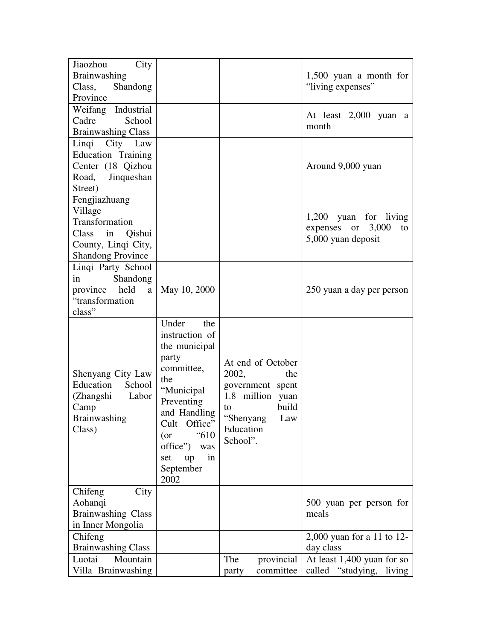| Jiaozhou<br>City<br><b>Brainwashing</b><br>Class,<br>Shandong<br>Province                                           |                                                                                                                                                                                                                        |                                                                                                                                       | $1,500$ yuan a month for<br>"living expenses"                          |
|---------------------------------------------------------------------------------------------------------------------|------------------------------------------------------------------------------------------------------------------------------------------------------------------------------------------------------------------------|---------------------------------------------------------------------------------------------------------------------------------------|------------------------------------------------------------------------|
| Industrial<br>Weifang<br>Cadre<br>School<br><b>Brainwashing Class</b>                                               |                                                                                                                                                                                                                        |                                                                                                                                       | At least 2,000 yuan a<br>month                                         |
| City Law<br>Linqi<br>Education Training<br>Center (18 Qizhou<br>Jinqueshan<br>Road,<br>Street)                      |                                                                                                                                                                                                                        |                                                                                                                                       | Around 9,000 yuan                                                      |
| Fengjiazhuang<br>Village<br>Transformation<br>Class in<br>Qishui<br>County, Linqi City,<br><b>Shandong Province</b> |                                                                                                                                                                                                                        |                                                                                                                                       | 1,200 yuan for living<br>expenses or 3,000<br>to<br>5,000 yuan deposit |
| Linqi Party School<br>Shandong<br>in<br>held<br>province<br>a<br>"transformation<br>class"                          | May 10, 2000                                                                                                                                                                                                           |                                                                                                                                       | 250 yuan a day per person                                              |
| Shenyang City Law<br>Education<br>School<br>(Zhangshi<br>Labor<br>Camp<br>Brainwashing<br>Class)                    | Under<br>the<br>instruction of<br>the municipal<br>party<br>committee,<br>the<br>"Municipal<br>Preventing<br>and Handling<br>Cult Office"<br>"610<br>$($ or<br>office")<br>was<br>in<br>up<br>set<br>September<br>2002 | At end of October<br>2002,<br>the<br>government spent<br>1.8 million yuan<br>build<br>to<br>"Shenyang<br>Law<br>Education<br>School". |                                                                        |
| Chifeng<br>City<br>Aohanqi<br><b>Brainwashing Class</b><br>in Inner Mongolia                                        |                                                                                                                                                                                                                        |                                                                                                                                       | 500 yuan per person for<br>meals                                       |
| Chifeng<br><b>Brainwashing Class</b>                                                                                |                                                                                                                                                                                                                        |                                                                                                                                       | 2,000 yuan for a 11 to 12-<br>day class                                |
| Luotai<br>Mountain<br>Villa Brainwashing                                                                            |                                                                                                                                                                                                                        | The<br>provincial<br>committee<br>party                                                                                               | At least $1,400$ yuan for so<br>called<br>"studying, living"           |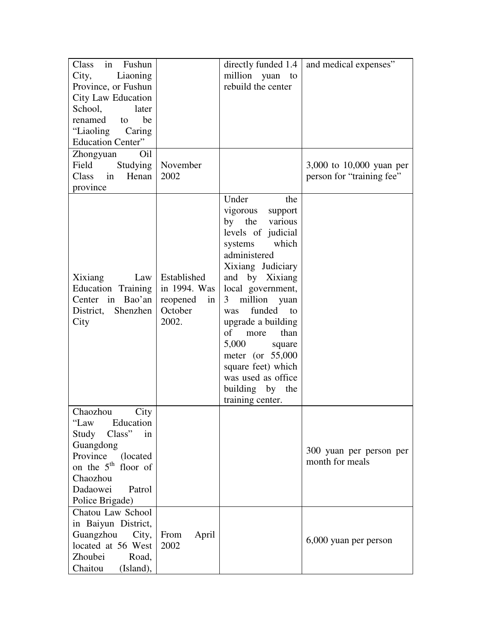| in<br>Class<br>Fushun<br>Liaoning<br>City,<br>Province, or Fushun<br>City Law Education<br>School,<br>later<br>renamed<br>be<br>to<br>"Liaoling Caring<br><b>Education Center"</b><br>Zhongyuan<br>Oil<br>Field<br>Studying<br>Class in<br>Henan | November<br>2002                                                  | directly funded 1.4<br>million yuan to<br>rebuild the center                                                                                                                                                                                                                                                                                                                                       | and medical expenses"<br>3,000 to 10,000 yuan per<br>person for "training fee" |
|--------------------------------------------------------------------------------------------------------------------------------------------------------------------------------------------------------------------------------------------------|-------------------------------------------------------------------|----------------------------------------------------------------------------------------------------------------------------------------------------------------------------------------------------------------------------------------------------------------------------------------------------------------------------------------------------------------------------------------------------|--------------------------------------------------------------------------------|
| province<br>Xixiang<br>Law<br>Education Training<br>Center in Bao'an<br>District, Shenzhen<br>City                                                                                                                                               | Established<br>in 1994. Was<br>reopened<br>in<br>October<br>2002. | Under<br>the<br>vigorous<br>support<br>by the various<br>levels of judicial<br>systems<br>which<br>administered<br>Xixiang Judiciary<br>and by Xixiang<br>local government,<br>million yuan<br>3<br>funded<br>to<br>was<br>upgrade a building<br>of<br>more<br>than<br>5,000<br>square<br>meter (or $55,000$<br>square feet) which<br>was used as office<br>building by<br>the<br>training center. |                                                                                |
| Chaozhou<br>City<br>ʻʻLaw<br>Education<br>Class"<br>Study<br>in<br>Guangdong<br>Province<br>(located)<br>on the 5 <sup>th</sup> floor of<br>Chaozhou<br>Dadaowei<br>Patrol<br>Police Brigade)                                                    |                                                                   |                                                                                                                                                                                                                                                                                                                                                                                                    | 300 yuan per person per<br>month for meals                                     |
| Chatou Law School<br>in Baiyun District,<br>Guangzhou<br>City,<br>located at 56 West<br>Zhoubei<br>Road,<br>Chaitou<br>(Island),                                                                                                                 | From<br>April<br>2002                                             |                                                                                                                                                                                                                                                                                                                                                                                                    | 6,000 yuan per person                                                          |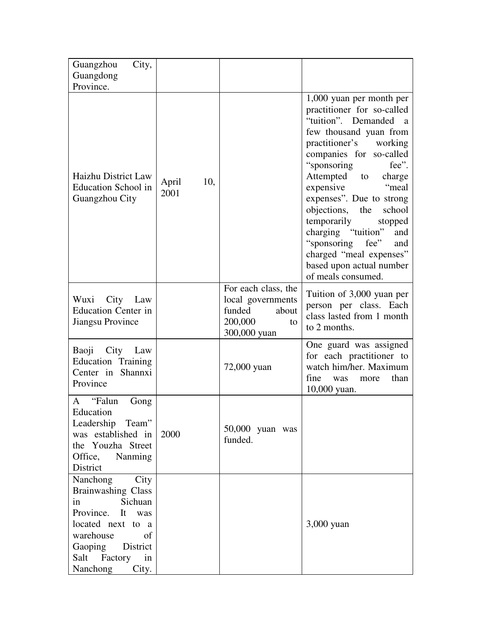| City,<br>Guangzhou                                                                                                                                                                       |                      |                                                                                              |                                                                                                                                                                                                                                                                                                                                                                                                                                                   |
|------------------------------------------------------------------------------------------------------------------------------------------------------------------------------------------|----------------------|----------------------------------------------------------------------------------------------|---------------------------------------------------------------------------------------------------------------------------------------------------------------------------------------------------------------------------------------------------------------------------------------------------------------------------------------------------------------------------------------------------------------------------------------------------|
| Guangdong<br>Province.                                                                                                                                                                   |                      |                                                                                              |                                                                                                                                                                                                                                                                                                                                                                                                                                                   |
|                                                                                                                                                                                          |                      |                                                                                              | 1,000 yuan per month per                                                                                                                                                                                                                                                                                                                                                                                                                          |
| Haizhu District Law<br><b>Education School in</b><br>Guangzhou City                                                                                                                      | April<br>10,<br>2001 |                                                                                              | practitioner for so-called<br>"tuition". Demanded<br><sub>a</sub><br>few thousand yuan from<br>practitioner's working<br>companies for so-called<br>"sponsoring"<br>fee".<br>Attempted to charge<br>"meal<br>expensive<br>expenses". Due to strong<br>objections, the<br>school<br>temporarily<br>stopped<br>charging "tuition"<br>and<br>"sponsoring<br>fee"<br>and<br>charged "meal expenses"<br>based upon actual number<br>of meals consumed. |
| City Law<br>Wuxi<br><b>Education Center in</b><br>Jiangsu Province                                                                                                                       |                      | For each class, the<br>local governments<br>funded<br>about<br>200,000<br>to<br>300,000 yuan | Tuition of 3,000 yuan per<br>person per class. Each<br>class lasted from 1 month<br>to 2 months.                                                                                                                                                                                                                                                                                                                                                  |
| City Law<br>Baoji<br>Education Training<br>Center in Shannxi<br>Province                                                                                                                 |                      | 72,000 yuan                                                                                  | One guard was assigned<br>for each practitioner to<br>watch him/her. Maximum<br>fine<br>than<br>was<br>more<br>10,000 yuan.                                                                                                                                                                                                                                                                                                                       |
| A "Falun<br>Gong<br>Education<br>Leadership Team"<br>was established in<br>the Youzha Street<br>Office, Nanming<br>District                                                              | 2000                 | $50,000$ yuan was<br>funded.                                                                 |                                                                                                                                                                                                                                                                                                                                                                                                                                                   |
| Nanchong<br>City<br>Brainwashing Class<br>Sichuan<br>in<br>Province.<br>It was<br>located next to a<br>warehouse<br>of<br>Gaoping<br>District<br>Salt<br>Factory<br>in<br>Nanchong City. |                      |                                                                                              | 3,000 yuan                                                                                                                                                                                                                                                                                                                                                                                                                                        |